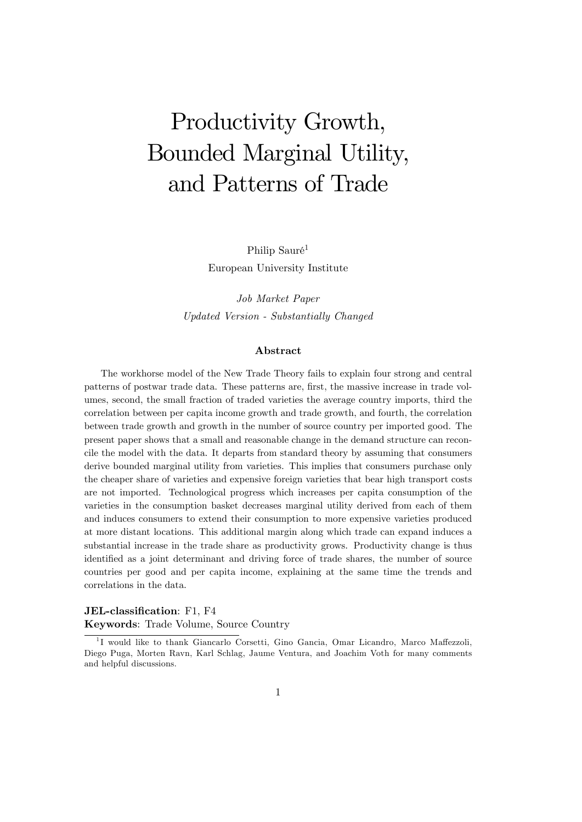# Productivity Growth, Bounded Marginal Utility, and Patterns of Trade

Philip Sauré<sup>1</sup> European University Institute

Job Market Paper Updated Version - Substantially Changed

#### Abstract

The workhorse model of the New Trade Theory fails to explain four strong and central patterns of postwar trade data. These patterns are, Örst, the massive increase in trade volumes, second, the small fraction of traded varieties the average country imports, third the correlation between per capita income growth and trade growth, and fourth, the correlation between trade growth and growth in the number of source country per imported good. The present paper shows that a small and reasonable change in the demand structure can reconcile the model with the data. It departs from standard theory by assuming that consumers derive bounded marginal utility from varieties. This implies that consumers purchase only the cheaper share of varieties and expensive foreign varieties that bear high transport costs are not imported. Technological progress which increases per capita consumption of the varieties in the consumption basket decreases marginal utility derived from each of them and induces consumers to extend their consumption to more expensive varieties produced at more distant locations. This additional margin along which trade can expand induces a substantial increase in the trade share as productivity grows. Productivity change is thus identified as a joint determinant and driving force of trade shares, the number of source countries per good and per capita income, explaining at the same time the trends and correlations in the data.

#### JEL-classification: F1, F4 Keywords: Trade Volume, Source Country

<sup>&</sup>lt;sup>1</sup>I would like to thank Giancarlo Corsetti, Gino Gancia, Omar Licandro, Marco Maffezzoli, Diego Puga, Morten Ravn, Karl Schlag, Jaume Ventura, and Joachim Voth for many comments and helpful discussions.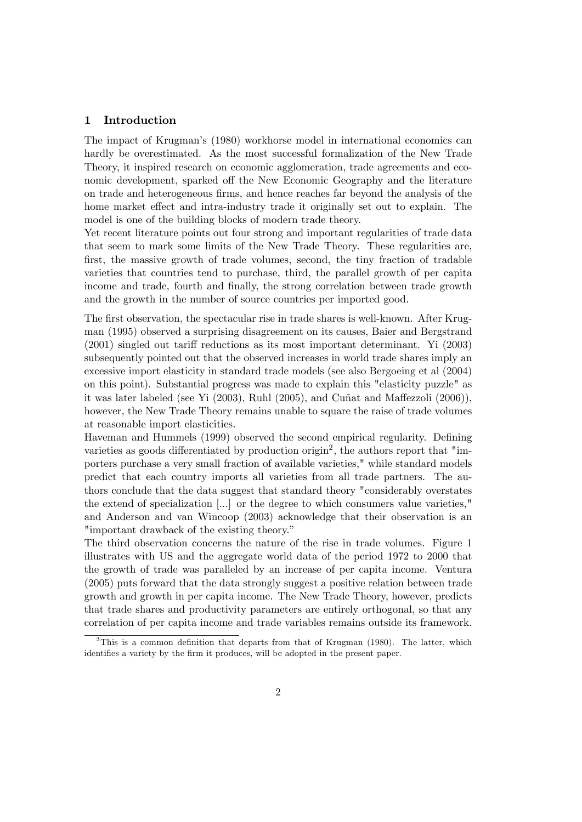#### 1 Introduction

The impact of Krugmanís (1980) workhorse model in international economics can hardly be overestimated. As the most successful formalization of the New Trade Theory, it inspired research on economic agglomeration, trade agreements and economic development, sparked off the New Economic Geography and the literature on trade and heterogeneous Örms, and hence reaches far beyond the analysis of the home market effect and intra-industry trade it originally set out to explain. The model is one of the building blocks of modern trade theory.

Yet recent literature points out four strong and important regularities of trade data that seem to mark some limits of the New Trade Theory. These regularities are, first, the massive growth of trade volumes, second, the tiny fraction of tradable varieties that countries tend to purchase, third, the parallel growth of per capita income and trade, fourth and finally, the strong correlation between trade growth and the growth in the number of source countries per imported good.

The first observation, the spectacular rise in trade shares is well-known. After Krugman (1995) observed a surprising disagreement on its causes, Baier and Bergstrand  $(2001)$  singled out tariff reductions as its most important determinant. Yi  $(2003)$ subsequently pointed out that the observed increases in world trade shares imply an excessive import elasticity in standard trade models (see also Bergoeing et al (2004) on this point). Substantial progress was made to explain this "elasticity puzzle" as it was later labeled (see Yi  $(2003)$ , Ruhl  $(2005)$ , and Cuñat and Maffezzoli  $(2006)$ ), however, the New Trade Theory remains unable to square the raise of trade volumes at reasonable import elasticities.

Haveman and Hummels (1999) observed the second empirical regularity. Defining varieties as goods differentiated by production origin<sup>2</sup>, the authors report that "importers purchase a very small fraction of available varieties," while standard models predict that each country imports all varieties from all trade partners. The authors conclude that the data suggest that standard theory "considerably overstates the extend of specialization [...] or the degree to which consumers value varieties," and Anderson and van Wincoop (2003) acknowledge that their observation is an "important drawback of the existing theory."

The third observation concerns the nature of the rise in trade volumes. Figure 1 illustrates with US and the aggregate world data of the period 1972 to 2000 that the growth of trade was paralleled by an increase of per capita income. Ventura (2005) puts forward that the data strongly suggest a positive relation between trade growth and growth in per capita income. The New Trade Theory, however, predicts that trade shares and productivity parameters are entirely orthogonal, so that any correlation of per capita income and trade variables remains outside its framework.

<sup>&</sup>lt;sup>2</sup>This is a common definition that departs from that of Krugman (1980). The latter, which identifies a variety by the firm it produces, will be adopted in the present paper.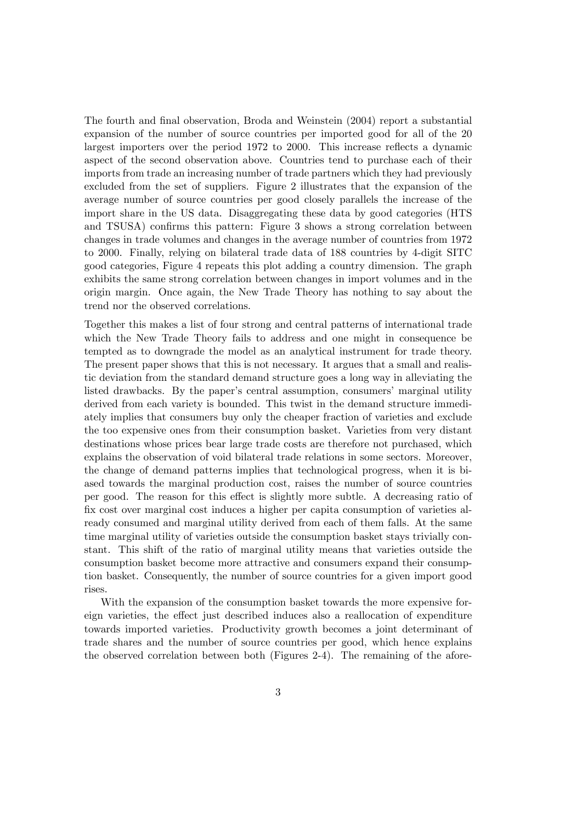The fourth and final observation, Broda and Weinstein (2004) report a substantial expansion of the number of source countries per imported good for all of the 20 largest importers over the period 1972 to 2000. This increase reflects a dynamic aspect of the second observation above. Countries tend to purchase each of their imports from trade an increasing number of trade partners which they had previously excluded from the set of suppliers. Figure 2 illustrates that the expansion of the average number of source countries per good closely parallels the increase of the import share in the US data. Disaggregating these data by good categories (HTS and TSUSA) confirms this pattern: Figure 3 shows a strong correlation between changes in trade volumes and changes in the average number of countries from 1972 to 2000. Finally, relying on bilateral trade data of 188 countries by 4-digit SITC good categories, Figure 4 repeats this plot adding a country dimension. The graph exhibits the same strong correlation between changes in import volumes and in the origin margin. Once again, the New Trade Theory has nothing to say about the trend nor the observed correlations.

Together this makes a list of four strong and central patterns of international trade which the New Trade Theory fails to address and one might in consequence be tempted as to downgrade the model as an analytical instrument for trade theory. The present paper shows that this is not necessary. It argues that a small and realistic deviation from the standard demand structure goes a long way in alleviating the listed drawbacks. By the paper's central assumption, consumers' marginal utility derived from each variety is bounded. This twist in the demand structure immediately implies that consumers buy only the cheaper fraction of varieties and exclude the too expensive ones from their consumption basket. Varieties from very distant destinations whose prices bear large trade costs are therefore not purchased, which explains the observation of void bilateral trade relations in some sectors. Moreover, the change of demand patterns implies that technological progress, when it is biased towards the marginal production cost, raises the number of source countries per good. The reason for this effect is slightly more subtle. A decreasing ratio of Öx cost over marginal cost induces a higher per capita consumption of varieties already consumed and marginal utility derived from each of them falls. At the same time marginal utility of varieties outside the consumption basket stays trivially constant. This shift of the ratio of marginal utility means that varieties outside the consumption basket become more attractive and consumers expand their consumption basket. Consequently, the number of source countries for a given import good rises.

With the expansion of the consumption basket towards the more expensive foreign varieties, the effect just described induces also a reallocation of expenditure towards imported varieties. Productivity growth becomes a joint determinant of trade shares and the number of source countries per good, which hence explains the observed correlation between both (Figures 2-4). The remaining of the afore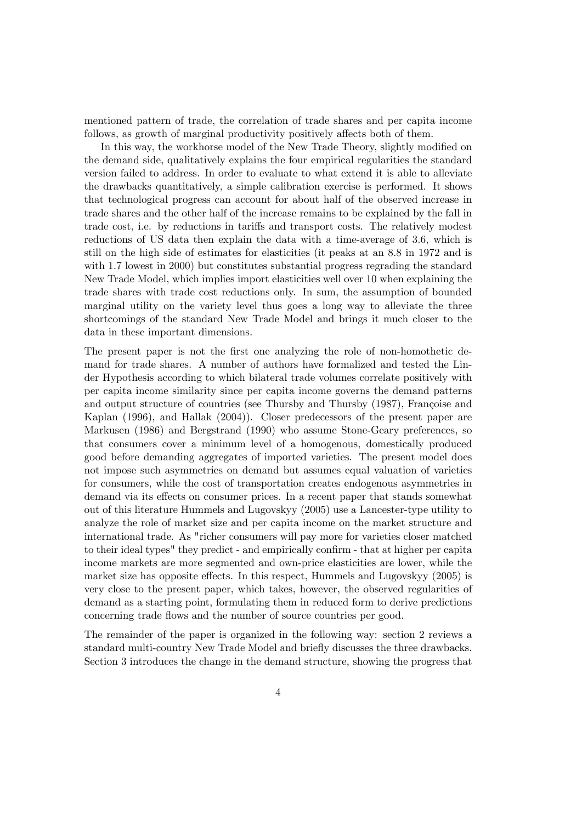mentioned pattern of trade, the correlation of trade shares and per capita income follows, as growth of marginal productivity positively affects both of them.

In this way, the workhorse model of the New Trade Theory, slightly modified on the demand side, qualitatively explains the four empirical regularities the standard version failed to address. In order to evaluate to what extend it is able to alleviate the drawbacks quantitatively, a simple calibration exercise is performed. It shows that technological progress can account for about half of the observed increase in trade shares and the other half of the increase remains to be explained by the fall in trade cost, i.e. by reductions in tariffs and transport costs. The relatively modest reductions of US data then explain the data with a time-average of 3.6, which is still on the high side of estimates for elasticities (it peaks at an 8.8 in 1972 and is with 1.7 lowest in 2000) but constitutes substantial progress regrading the standard New Trade Model, which implies import elasticities well over 10 when explaining the trade shares with trade cost reductions only. In sum, the assumption of bounded marginal utility on the variety level thus goes a long way to alleviate the three shortcomings of the standard New Trade Model and brings it much closer to the data in these important dimensions.

The present paper is not the first one analyzing the role of non-homothetic demand for trade shares. A number of authors have formalized and tested the Linder Hypothesis according to which bilateral trade volumes correlate positively with per capita income similarity since per capita income governs the demand patterns and output structure of countries (see Thursby and Thursby (1987), Françoise and Kaplan (1996), and Hallak (2004)). Closer predecessors of the present paper are Markusen (1986) and Bergstrand (1990) who assume Stone-Geary preferences, so that consumers cover a minimum level of a homogenous, domestically produced good before demanding aggregates of imported varieties. The present model does not impose such asymmetries on demand but assumes equal valuation of varieties for consumers, while the cost of transportation creates endogenous asymmetries in demand via its effects on consumer prices. In a recent paper that stands somewhat out of this literature Hummels and Lugovskyy (2005) use a Lancester-type utility to analyze the role of market size and per capita income on the market structure and international trade. As "richer consumers will pay more for varieties closer matched to their ideal types" they predict - and empirically confirm - that at higher per capita income markets are more segmented and own-price elasticities are lower, while the market size has opposite effects. In this respect, Hummels and Lugovskyy (2005) is very close to the present paper, which takes, however, the observed regularities of demand as a starting point, formulating them in reduced form to derive predictions concerning trade áows and the number of source countries per good.

The remainder of the paper is organized in the following way: section 2 reviews a standard multi-country New Trade Model and brieáy discusses the three drawbacks. Section 3 introduces the change in the demand structure, showing the progress that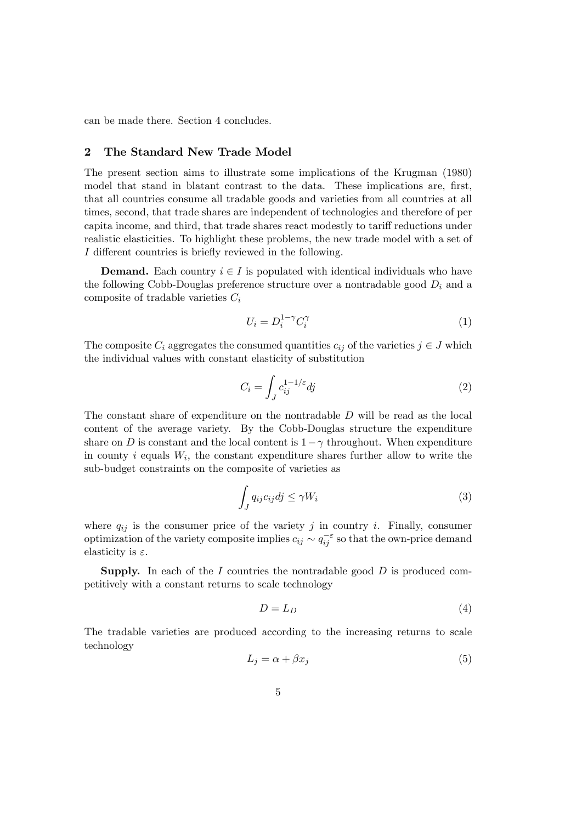can be made there. Section 4 concludes.

#### 2 The Standard New Trade Model

The present section aims to illustrate some implications of the Krugman (1980) model that stand in blatant contrast to the data. These implications are, first, that all countries consume all tradable goods and varieties from all countries at all times, second, that trade shares are independent of technologies and therefore of per capita income, and third, that trade shares react modestly to tariff reductions under realistic elasticities. To highlight these problems, the new trade model with a set of I different countries is briefly reviewed in the following.

**Demand.** Each country  $i \in I$  is populated with identical individuals who have the following Cobb-Douglas preference structure over a nontradable good  $D_i$  and a composite of tradable varieties  $C_i$ 

$$
U_i = D_i^{1-\gamma} C_i^{\gamma} \tag{1}
$$

The composite  $C_i$  aggregates the consumed quantities  $c_{ij}$  of the varieties  $j \in J$  which the individual values with constant elasticity of substitution

$$
C_i = \int_J c_{ij}^{1-1/\varepsilon} dj \tag{2}
$$

The constant share of expenditure on the nontradable D will be read as the local content of the average variety. By the Cobb-Douglas structure the expenditure share on D is constant and the local content is  $1-\gamma$  throughout. When expenditure in county  $i$  equals  $W_i$ , the constant expenditure shares further allow to write the sub-budget constraints on the composite of varieties as

$$
\int_{J} q_{ij} c_{ij} dj \le \gamma W_i \tag{3}
$$

where  $q_{ij}$  is the consumer price of the variety j in country i. Finally, consumer optimization of the variety composite implies  $c_{ij} \sim q_{ij}^{-\varepsilon}$  so that the own-price demand elasticity is  $\varepsilon$ .

**Supply.** In each of the I countries the nontradable good  $D$  is produced competitively with a constant returns to scale technology

$$
D = L_D \tag{4}
$$

The tradable varieties are produced according to the increasing returns to scale technology

$$
L_j = \alpha + \beta x_j \tag{5}
$$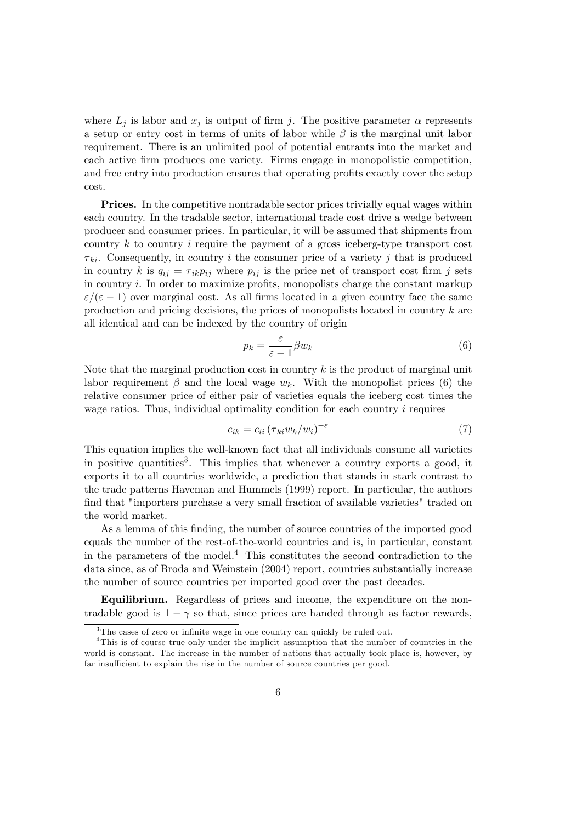where  $L_j$  is labor and  $x_j$  is output of firm j. The positive parameter  $\alpha$  represents a setup or entry cost in terms of units of labor while  $\beta$  is the marginal unit labor requirement. There is an unlimited pool of potential entrants into the market and each active Örm produces one variety. Firms engage in monopolistic competition, and free entry into production ensures that operating profits exactly cover the setup cost.

Prices. In the competitive nontradable sector prices trivially equal wages within each country. In the tradable sector, international trade cost drive a wedge between producer and consumer prices. In particular, it will be assumed that shipments from country  $k$  to country  $i$  require the payment of a gross iceberg-type transport cost  $\tau_{ki}$ . Consequently, in country i the consumer price of a variety j that is produced in country k is  $q_{ij} = \tau_{ik} p_{ij}$  where  $p_{ij}$  is the price net of transport cost firm j sets in country  $i$ . In order to maximize profits, monopolists charge the constant markup  $\varepsilon/(\varepsilon - 1)$  over marginal cost. As all firms located in a given country face the same production and pricing decisions, the prices of monopolists located in country k are all identical and can be indexed by the country of origin

$$
p_k = \frac{\varepsilon}{\varepsilon - 1} \beta w_k \tag{6}
$$

Note that the marginal production cost in country  $k$  is the product of marginal unit labor requirement  $\beta$  and the local wage  $w_k$ . With the monopolist prices (6) the relative consumer price of either pair of varieties equals the iceberg cost times the wage ratios. Thus, individual optimality condition for each country i requires

$$
c_{ik} = c_{ii} \left( \tau_{ki} w_k / w_i \right)^{-\varepsilon} \tag{7}
$$

This equation implies the well-known fact that all individuals consume all varieties in positive quantities<sup>3</sup>. This implies that whenever a country exports a good, it exports it to all countries worldwide, a prediction that stands in stark contrast to the trade patterns Haveman and Hummels (1999) report. In particular, the authors find that "importers purchase a very small fraction of available varieties" traded on the world market.

As a lemma of this finding, the number of source countries of the imported good equals the number of the rest-of-the-world countries and is, in particular, constant in the parameters of the model.<sup>4</sup> This constitutes the second contradiction to the data since, as of Broda and Weinstein (2004) report, countries substantially increase the number of source countries per imported good over the past decades.

Equilibrium. Regardless of prices and income, the expenditure on the nontradable good is  $1 - \gamma$  so that, since prices are handed through as factor rewards,

 $3$ The cases of zero or infinite wage in one country can quickly be ruled out.

<sup>4</sup>This is of course true only under the implicit assumption that the number of countries in the world is constant. The increase in the number of nations that actually took place is, however, by far insufficient to explain the rise in the number of source countries per good.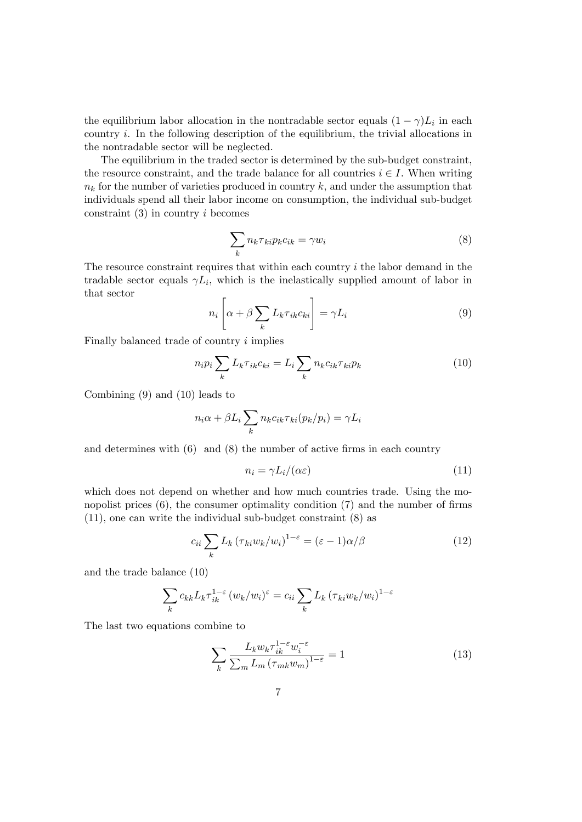the equilibrium labor allocation in the nontradable sector equals  $(1 - \gamma)L_i$  in each country  $i$ . In the following description of the equilibrium, the trivial allocations in the nontradable sector will be neglected.

The equilibrium in the traded sector is determined by the sub-budget constraint, the resource constraint, and the trade balance for all countries  $i \in I$ . When writing  $n_k$  for the number of varieties produced in country k, and under the assumption that individuals spend all their labor income on consumption, the individual sub-budget constraint  $(3)$  in country i becomes

$$
\sum_{k} n_{k} \tau_{ki} p_{k} c_{ik} = \gamma w_{i}
$$
\n(8)

The resource constraint requires that within each country  $i$  the labor demand in the tradable sector equals  $\gamma L_i$ , which is the inelastically supplied amount of labor in that sector

$$
n_i \left[ \alpha + \beta \sum_{k} L_k \tau_{ik} c_{ki} \right] = \gamma L_i \tag{9}
$$

Finally balanced trade of country i implies

$$
n_i p_i \sum_k L_k \tau_{ik} c_{ki} = L_i \sum_k n_k c_{ik} \tau_{ki} p_k \tag{10}
$$

Combining (9) and (10) leads to

$$
n_i \alpha + \beta L_i \sum_k n_k c_{ik} \tau_{ki}(p_k/p_i) = \gamma L_i
$$

and determines with  $(6)$  and  $(8)$  the number of active firms in each country

$$
n_i = \gamma L_i / (\alpha \varepsilon) \tag{11}
$$

which does not depend on whether and how much countries trade. Using the monopolist prices  $(6)$ , the consumer optimality condition  $(7)$  and the number of firms (11), one can write the individual sub-budget constraint (8) as

$$
c_{ii} \sum_{k} L_k \left( \tau_{ki} w_k / w_i \right)^{1 - \varepsilon} = (\varepsilon - 1) \alpha / \beta \tag{12}
$$

and the trade balance (10)

$$
\sum_{k} c_{kk} L_{k} \tau_{ik}^{1-\epsilon} (w_{k}/w_{i})^{\epsilon} = c_{ii} \sum_{k} L_{k} (\tau_{ki} w_{k}/w_{i})^{1-\epsilon}
$$

The last two equations combine to

$$
\sum_{k} \frac{L_k w_k \tau_{ik}^{1-\epsilon} w_i^{-\epsilon}}{\sum_{m} L_m \left(\tau_{mk} w_m\right)^{1-\epsilon}} = 1 \tag{13}
$$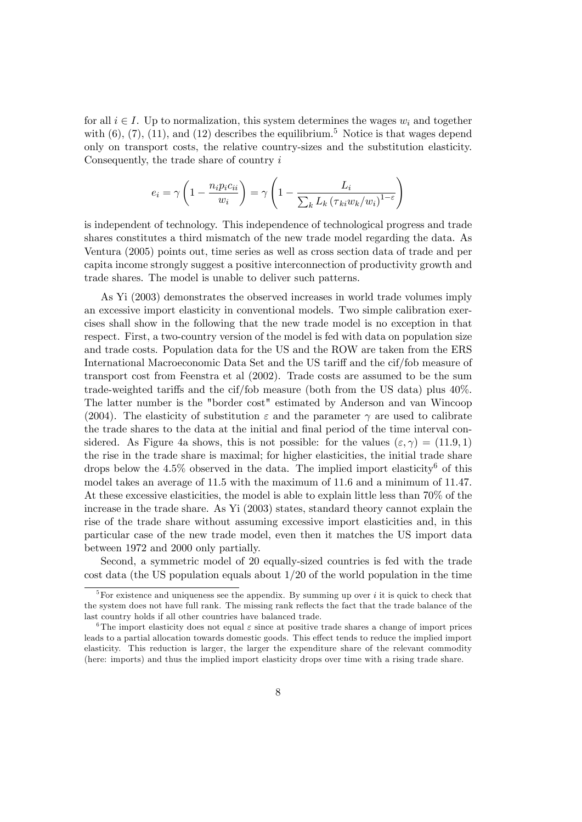for all  $i \in I$ . Up to normalization, this system determines the wages w<sub>i</sub> and together with  $(6)$ ,  $(7)$ ,  $(11)$ , and  $(12)$  describes the equilibrium.<sup>5</sup> Notice is that wages depend only on transport costs, the relative country-sizes and the substitution elasticity. Consequently, the trade share of country  $i$ 

$$
e_i = \gamma \left( 1 - \frac{n_i p_i c_{ii}}{w_i} \right) = \gamma \left( 1 - \frac{L_i}{\sum_k L_k \left( \tau_{ki} w_k / w_i \right)^{1 - \varepsilon}} \right)
$$

is independent of technology. This independence of technological progress and trade shares constitutes a third mismatch of the new trade model regarding the data. As Ventura (2005) points out, time series as well as cross section data of trade and per capita income strongly suggest a positive interconnection of productivity growth and trade shares. The model is unable to deliver such patterns.

As Yi (2003) demonstrates the observed increases in world trade volumes imply an excessive import elasticity in conventional models. Two simple calibration exercises shall show in the following that the new trade model is no exception in that respect. First, a two-country version of the model is fed with data on population size and trade costs. Population data for the US and the ROW are taken from the ERS International Macroeconomic Data Set and the US tariff and the cif/fob measure of transport cost from Feenstra et al (2002). Trade costs are assumed to be the sum trade-weighted tariffs and the cif/fob measure (both from the US data) plus  $40\%$ . The latter number is the "border cost" estimated by Anderson and van Wincoop (2004). The elasticity of substitution  $\varepsilon$  and the parameter  $\gamma$  are used to calibrate the trade shares to the data at the initial and final period of the time interval considered. As Figure 4a shows, this is not possible: for the values  $(\varepsilon, \gamma) = (11.9, 1)$ the rise in the trade share is maximal; for higher elasticities, the initial trade share drops below the 4.5% observed in the data. The implied import elasticity<sup>6</sup> of this model takes an average of 11.5 with the maximum of 11.6 and a minimum of 11.47. At these excessive elasticities, the model is able to explain little less than 70% of the increase in the trade share. As Yi (2003) states, standard theory cannot explain the rise of the trade share without assuming excessive import elasticities and, in this particular case of the new trade model, even then it matches the US import data between 1972 and 2000 only partially.

Second, a symmetric model of 20 equally-sized countries is fed with the trade cost data (the US population equals about 1/20 of the world population in the time

<sup>&</sup>lt;sup>5</sup>For existence and uniqueness see the appendix. By summing up over *i* it is quick to check that the system does not have full rank. The missing rank reflects the fact that the trade balance of the last country holds if all other countries have balanced trade.

<sup>&</sup>lt;sup>6</sup>The import elasticity does not equal  $\varepsilon$  since at positive trade shares a change of import prices leads to a partial allocation towards domestic goods. This effect tends to reduce the implied import elasticity. This reduction is larger, the larger the expenditure share of the relevant commodity (here: imports) and thus the implied import elasticity drops over time with a rising trade share.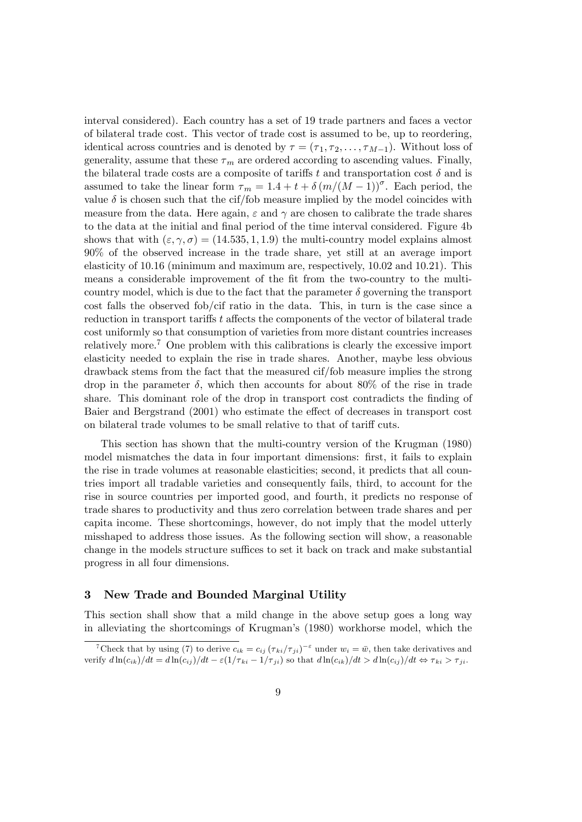interval considered). Each country has a set of 19 trade partners and faces a vector of bilateral trade cost. This vector of trade cost is assumed to be, up to reordering, identical across countries and is denoted by  $\tau = (\tau_1, \tau_2, \ldots, \tau_{M-1})$ . Without loss of generality, assume that these  $\tau_m$  are ordered according to ascending values. Finally, the bilateral trade costs are a composite of tariffs t and transportation cost  $\delta$  and is assumed to take the linear form  $\tau_m = 1.4 + t + \delta (m/(M - 1))^{\sigma}$ . Each period, the value  $\delta$  is chosen such that the cif/fob measure implied by the model coincides with measure from the data. Here again,  $\varepsilon$  and  $\gamma$  are chosen to calibrate the trade shares to the data at the initial and final period of the time interval considered. Figure 4b shows that with  $(\epsilon, \gamma, \sigma) = (14.535, 1, 1.9)$  the multi-country model explains almost 90% of the observed increase in the trade share, yet still at an average import elasticity of 10:16 (minimum and maximum are, respectively, 10:02 and 10:21). This means a considerable improvement of the fit from the two-country to the multicountry model, which is due to the fact that the parameter  $\delta$  governing the transport cost falls the observed fob/cif ratio in the data. This, in turn is the case since a reduction in transport tariffs t affects the components of the vector of bilateral trade cost uniformly so that consumption of varieties from more distant countries increases relatively more.<sup>7</sup> One problem with this calibrations is clearly the excessive import elasticity needed to explain the rise in trade shares. Another, maybe less obvious drawback stems from the fact that the measured cif/fob measure implies the strong drop in the parameter  $\delta$ , which then accounts for about 80% of the rise in trade share. This dominant role of the drop in transport cost contradicts the finding of Baier and Bergstrand (2001) who estimate the effect of decreases in transport cost on bilateral trade volumes to be small relative to that of tariff cuts.

This section has shown that the multi-country version of the Krugman (1980) model mismatches the data in four important dimensions: first, it fails to explain the rise in trade volumes at reasonable elasticities; second, it predicts that all countries import all tradable varieties and consequently fails, third, to account for the rise in source countries per imported good, and fourth, it predicts no response of trade shares to productivity and thus zero correlation between trade shares and per capita income. These shortcomings, however, do not imply that the model utterly misshaped to address those issues. As the following section will show, a reasonable change in the models structure suffices to set it back on track and make substantial progress in all four dimensions.

#### 3 New Trade and Bounded Marginal Utility

This section shall show that a mild change in the above setup goes a long way in alleviating the shortcomings of Krugman's (1980) workhorse model, which the

<sup>&</sup>lt;sup>7</sup>Check that by using (7) to derive  $c_{ik}=c_{ij}(\tau_{ki}/\tau_{ji})^{-\varepsilon}$  under  $w_i=\bar{w}$ , then take derivatives and verify  $d \ln(c_{ik})/dt = d \ln(c_{ij})/dt - \varepsilon (1/\tau_{ki} - 1/\tau_{ji})$  so that  $d \ln(c_{ik})/dt > d \ln(c_{ij})/dt \Leftrightarrow \tau_{ki} > \tau_{ji}$ .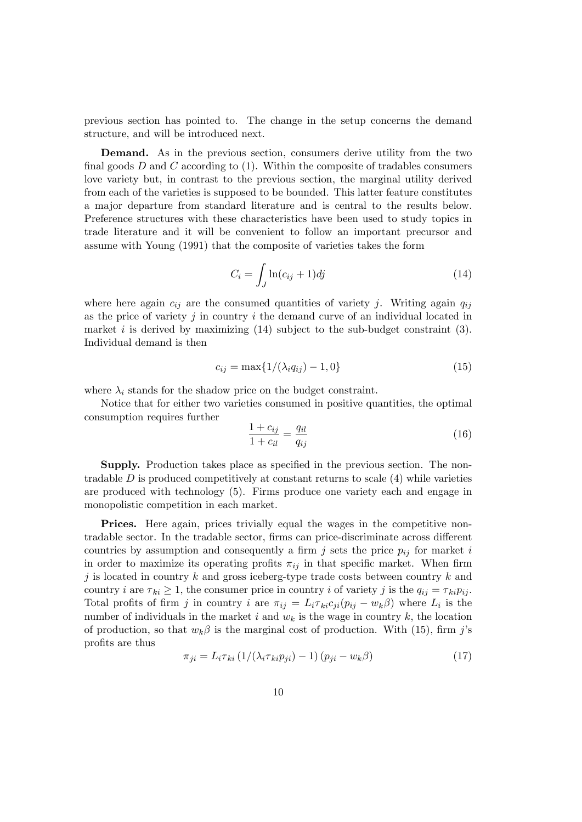previous section has pointed to. The change in the setup concerns the demand structure, and will be introduced next.

Demand. As in the previous section, consumers derive utility from the two final goods D and C according to  $(1)$ . Within the composite of tradables consumers love variety but, in contrast to the previous section, the marginal utility derived from each of the varieties is supposed to be bounded. This latter feature constitutes a major departure from standard literature and is central to the results below. Preference structures with these characteristics have been used to study topics in trade literature and it will be convenient to follow an important precursor and assume with Young (1991) that the composite of varieties takes the form

$$
C_i = \int_J \ln(c_{ij} + 1) \, dj \tag{14}
$$

where here again  $c_{ij}$  are the consumed quantities of variety j. Writing again  $q_{ij}$ as the price of variety j in country  $i$  the demand curve of an individual located in market i is derived by maximizing  $(14)$  subject to the sub-budget constraint  $(3)$ . Individual demand is then

$$
c_{ij} = \max\{1/(\lambda_i q_{ij}) - 1, 0\}
$$
 (15)

where  $\lambda_i$  stands for the shadow price on the budget constraint.

Notice that for either two varieties consumed in positive quantities, the optimal consumption requires further

$$
\frac{1 + c_{ij}}{1 + c_{il}} = \frac{q_{il}}{q_{ij}}
$$
(16)

**Supply.** Production takes place as specified in the previous section. The nontradable  $D$  is produced competitively at constant returns to scale  $(4)$  while varieties are produced with technology (5). Firms produce one variety each and engage in monopolistic competition in each market.

Prices. Here again, prices trivially equal the wages in the competitive nontradable sector. In the tradable sector, firms can price-discriminate across different countries by assumption and consequently a firm j sets the price  $p_{ij}$  for market i in order to maximize its operating profits  $\pi_{ij}$  in that specific market. When firm j is located in country k and gross iceberg-type trade costs between country k and country i are  $\tau_{ki} \geq 1$ , the consumer price in country i of variety j is the  $q_{ij} = \tau_{ki} p_{ij}$ . Total profits of firm j in country i are  $\pi_{ij} = L_i \tau_{ki} c_{ji} (p_{ij} - w_k \beta)$  where  $L_i$  is the number of individuals in the market i and  $w_k$  is the wage in country k, the location of production, so that  $w_k \beta$  is the marginal cost of production. With (15), firm j's profits are thus

$$
\pi_{ji} = L_i \tau_{ki} \left( 1/(\lambda_i \tau_{ki} p_{ji}) - 1 \right) \left( p_{ji} - w_k \beta \right) \tag{17}
$$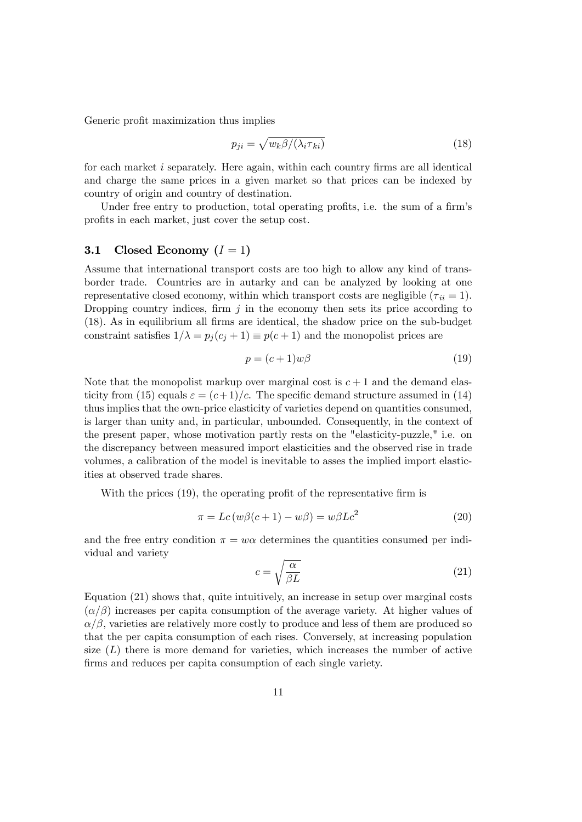Generic profit maximization thus implies

$$
p_{ji} = \sqrt{w_k \beta / (\lambda_i \tau_{ki})} \tag{18}
$$

for each market  $i$  separately. Here again, within each country firms are all identical and charge the same prices in a given market so that prices can be indexed by country of origin and country of destination.

Under free entry to production, total operating profits, i.e. the sum of a firm's profits in each market, just cover the setup cost.

#### 3.1 Closed Economy  $(I = 1)$

Assume that international transport costs are too high to allow any kind of transborder trade. Countries are in autarky and can be analyzed by looking at one representative closed economy, within which transport costs are negligible  $(\tau_{ii} = 1)$ . Dropping country indices, firm  $j$  in the economy then sets its price according to (18). As in equilibrium all Örms are identical, the shadow price on the sub-budget constraint satisfies  $1/\lambda = p_i (c_i + 1) \equiv p(c + 1)$  and the monopolist prices are

$$
p = (c+1)w\beta \tag{19}
$$

Note that the monopolist markup over marginal cost is  $c + 1$  and the demand elasticity from (15) equals  $\varepsilon = (c+1)/c$ . The specific demand structure assumed in (14) thus implies that the own-price elasticity of varieties depend on quantities consumed, is larger than unity and, in particular, unbounded. Consequently, in the context of the present paper, whose motivation partly rests on the "elasticity-puzzle," i.e. on the discrepancy between measured import elasticities and the observed rise in trade volumes, a calibration of the model is inevitable to asses the implied import elasticities at observed trade shares.

With the prices  $(19)$ , the operating profit of the representative firm is

$$
\pi = Lc(w\beta(c+1) - w\beta) = w\beta Lc^2
$$
\n(20)

and the free entry condition  $\pi = w\alpha$  determines the quantities consumed per individual and variety

$$
c = \sqrt{\frac{\alpha}{\beta L}}\tag{21}
$$

Equation (21) shows that, quite intuitively, an increase in setup over marginal costs  $(\alpha/\beta)$  increases per capita consumption of the average variety. At higher values of  $\alpha/\beta$ , varieties are relatively more costly to produce and less of them are produced so that the per capita consumption of each rises. Conversely, at increasing population size  $(L)$  there is more demand for varieties, which increases the number of active firms and reduces per capita consumption of each single variety.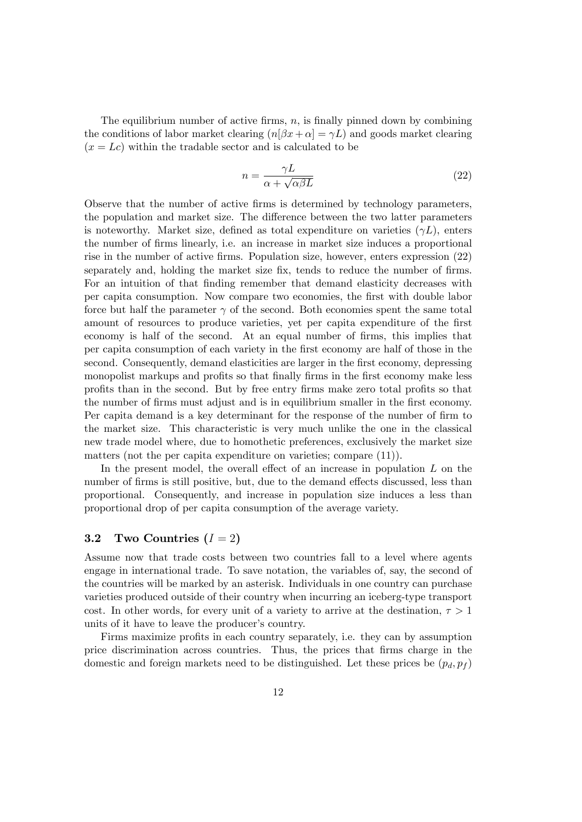The equilibrium number of active firms,  $n$ , is finally pinned down by combining the conditions of labor market clearing  $(n[\beta x + \alpha] = \gamma L)$  and goods market clearing  $(x = Lc)$  within the tradable sector and is calculated to be

$$
n = \frac{\gamma L}{\alpha + \sqrt{\alpha \beta L}}\tag{22}
$$

Observe that the number of active Örms is determined by technology parameters, the population and market size. The difference between the two latter parameters is noteworthy. Market size, defined as total expenditure on varieties  $(\gamma L)$ , enters the number of Örms linearly, i.e. an increase in market size induces a proportional rise in the number of active firms. Population size, however, enters expression (22) separately and, holding the market size fix, tends to reduce the number of firms. For an intuition of that finding remember that demand elasticity decreases with per capita consumption. Now compare two economies, the Örst with double labor force but half the parameter  $\gamma$  of the second. Both economies spent the same total amount of resources to produce varieties, yet per capita expenditure of the first economy is half of the second. At an equal number of firms, this implies that per capita consumption of each variety in the Örst economy are half of those in the second. Consequently, demand elasticities are larger in the first economy, depressing monopolist markups and profits so that finally firms in the first economy make less profits than in the second. But by free entry firms make zero total profits so that the number of firms must adjust and is in equilibrium smaller in the first economy. Per capita demand is a key determinant for the response of the number of firm to the market size. This characteristic is very much unlike the one in the classical new trade model where, due to homothetic preferences, exclusively the market size matters (not the per capita expenditure on varieties; compare (11)).

In the present model, the overall effect of an increase in population  $L$  on the number of firms is still positive, but, due to the demand effects discussed, less than proportional. Consequently, and increase in population size induces a less than proportional drop of per capita consumption of the average variety.

#### 3.2 Two Countries  $(I = 2)$

Assume now that trade costs between two countries fall to a level where agents engage in international trade. To save notation, the variables of, say, the second of the countries will be marked by an asterisk. Individuals in one country can purchase varieties produced outside of their country when incurring an iceberg-type transport cost. In other words, for every unit of a variety to arrive at the destination,  $\tau > 1$ units of it have to leave the producer's country.

Firms maximize profits in each country separately, i.e. they can by assumption price discrimination across countries. Thus, the prices that Örms charge in the domestic and foreign markets need to be distinguished. Let these prices be  $(p_d, p_f)$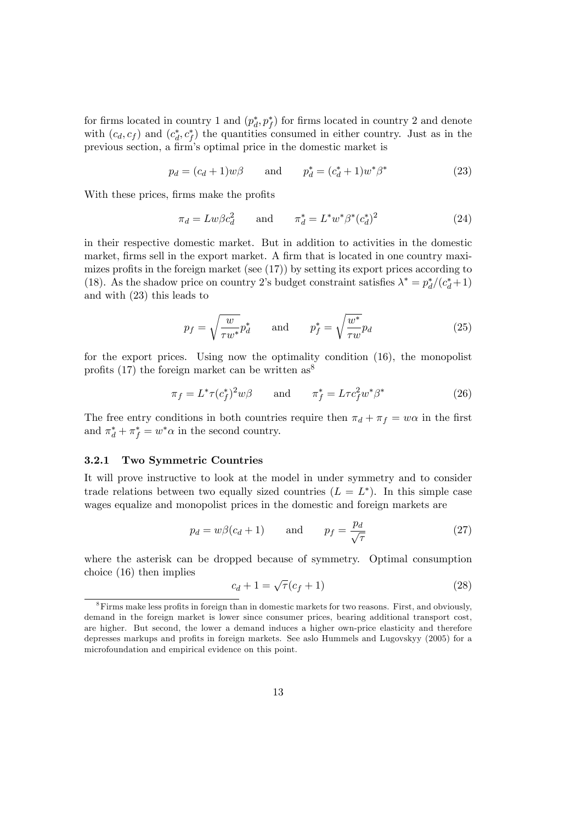for firms located in country 1 and  $(p_d^*, p_f^*)$  for firms located in country 2 and denote with  $(c_d, c_f)$  and  $(c_d^*, c_f^*)$  the quantities consumed in either country. Just as in the previous section, a firm's optimal price in the domestic market is

$$
p_d = (c_d + 1)w\beta
$$
 and  $p_d^* = (c_d^* + 1)w^*\beta^*$  (23)

With these prices, firms make the profits

$$
\pi_d = Lw\beta c_d^2 \quad \text{and} \quad \pi_d^* = L^*w^*\beta^*(c_d^*)^2 \tag{24}
$$

in their respective domestic market. But in addition to activities in the domestic market, firms sell in the export market. A firm that is located in one country maximizes profits in the foreign market (see  $(17)$ ) by setting its export prices according to (18). As the shadow price on country 2's budget constraint satisfies  $\lambda^* = p_d^*/(c_d^* + 1)$ and with (23) this leads to

$$
p_f = \sqrt{\frac{w}{\tau w^*}} p_d^* \quad \text{and} \quad p_f^* = \sqrt{\frac{w^*}{\tau w}} p_d \tag{25}
$$

for the export prices. Using now the optimality condition (16), the monopolist profits (17) the foreign market can be written  $as^8$ 

$$
\pi_f = L^* \tau (c_f^*)^2 w \beta \qquad \text{and} \qquad \pi_f^* = L \tau c_f^2 w^* \beta^* \tag{26}
$$

The free entry conditions in both countries require then  $\pi_d + \pi_f = w\alpha$  in the first and  $\pi_d^* + \pi_f^* = w^* \alpha$  in the second country.

#### 3.2.1 Two Symmetric Countries

It will prove instructive to look at the model in under symmetry and to consider trade relations between two equally sized countries  $(L = L^*)$ . In this simple case wages equalize and monopolist prices in the domestic and foreign markets are

$$
p_d = w\beta(c_d + 1) \qquad \text{and} \qquad p_f = \frac{p_d}{\sqrt{\tau}} \tag{27}
$$

where the asterisk can be dropped because of symmetry. Optimal consumption choice (16) then implies

$$
c_d + 1 = \sqrt{\tau} (c_f + 1) \tag{28}
$$

 ${}^{8}$ Firms make less profits in foreign than in domestic markets for two reasons. First, and obviously, demand in the foreign market is lower since consumer prices, bearing additional transport cost, are higher. But second, the lower a demand induces a higher own-price elasticity and therefore depresses markups and profits in foreign markets. See aslo Hummels and Lugovskyy (2005) for a microfoundation and empirical evidence on this point.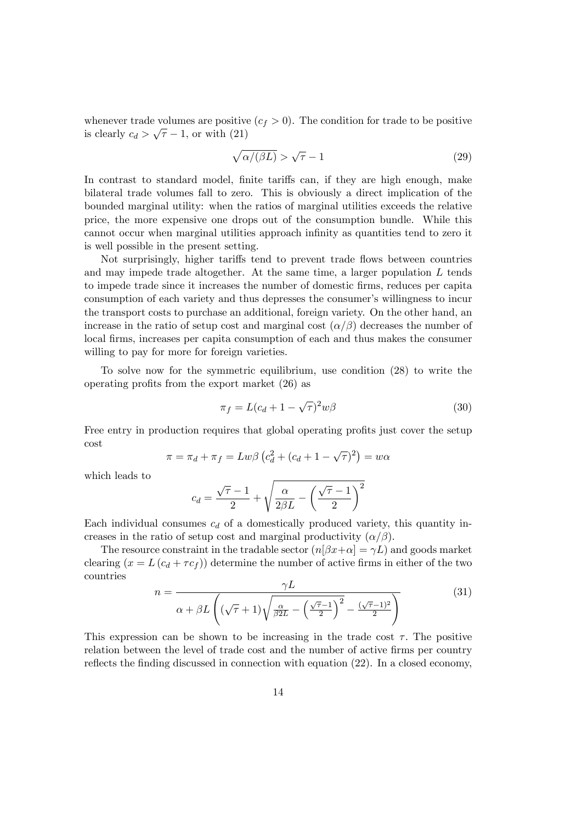whenever trade volumes are positive  $(c_f > 0)$ . The condition for trade to be positive is clearly  $c_d > \sqrt{\tau} - 1$ , or with (21)

$$
\sqrt{\alpha/(\beta L)} > \sqrt{\tau} - 1 \tag{29}
$$

In contrast to standard model, finite tariffs can, if they are high enough, make bilateral trade volumes fall to zero. This is obviously a direct implication of the bounded marginal utility: when the ratios of marginal utilities exceeds the relative price, the more expensive one drops out of the consumption bundle. While this cannot occur when marginal utilities approach infinity as quantities tend to zero it is well possible in the present setting.

Not surprisingly, higher tariffs tend to prevent trade flows between countries and may impede trade altogether. At the same time, a larger population L tends to impede trade since it increases the number of domestic Örms, reduces per capita consumption of each variety and thus depresses the consumer's willingness to incur the transport costs to purchase an additional, foreign variety. On the other hand, an increase in the ratio of setup cost and marginal cost  $(\alpha/\beta)$  decreases the number of local Örms, increases per capita consumption of each and thus makes the consumer willing to pay for more for foreign varieties.

To solve now for the symmetric equilibrium, use condition (28) to write the operating profits from the export market  $(26)$  as

$$
\pi_f = L(c_d + 1 - \sqrt{\tau})^2 w \beta \tag{30}
$$

Free entry in production requires that global operating profits just cover the setup cost

$$
\pi = \pi_d + \pi_f = Lw\beta \left(c_d^2 + (c_d + 1 - \sqrt{\tau})^2\right) = w\alpha
$$

which leads to

$$
c_d = \frac{\sqrt{\tau}-1}{2} + \sqrt{\frac{\alpha}{2\beta L} - \left(\frac{\sqrt{\tau}-1}{2}\right)^2}
$$

Each individual consumes  $c_d$  of a domestically produced variety, this quantity increases in the ratio of setup cost and marginal productivity  $(\alpha/\beta)$ .

The resource constraint in the tradable sector  $(n[\beta x+\alpha] = \gamma L)$  and goods market clearing  $(x = L(c_d + \tau c_f))$  determine the number of active firms in either of the two countries

$$
n = \frac{\gamma L}{\alpha + \beta L \left( (\sqrt{\tau} + 1) \sqrt{\frac{\alpha}{\beta 2L} - \left( \frac{\sqrt{\tau} - 1}{2} \right)^2 - \frac{(\sqrt{\tau} - 1)^2}{2}} \right)}
$$
(31)

This expression can be shown to be increasing in the trade cost  $\tau$ . The positive relation between the level of trade cost and the number of active firms per country reflects the finding discussed in connection with equation  $(22)$ . In a closed economy,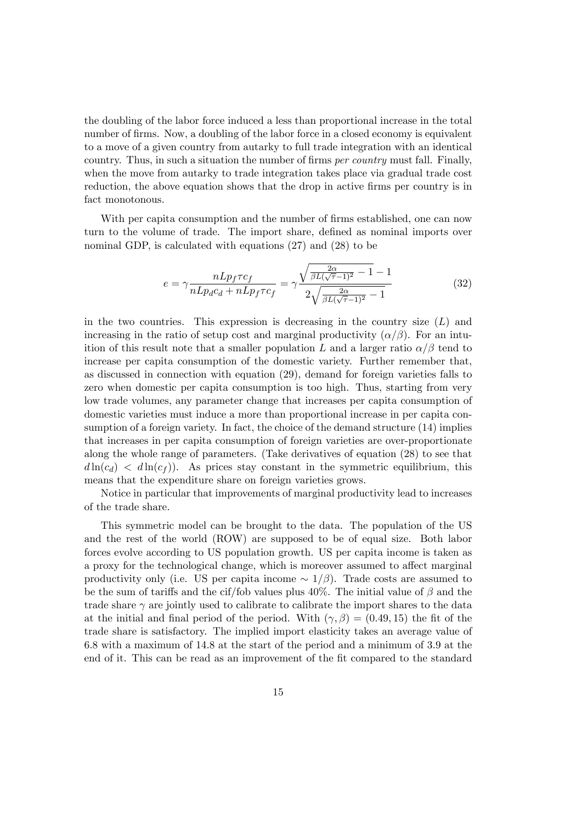the doubling of the labor force induced a less than proportional increase in the total number of firms. Now, a doubling of the labor force in a closed economy is equivalent to a move of a given country from autarky to full trade integration with an identical country. Thus, in such a situation the number of firms  $per~country$  must fall. Finally, when the move from autarky to trade integration takes place via gradual trade cost reduction, the above equation shows that the drop in active firms per country is in fact monotonous.

With per capita consumption and the number of firms established, one can now turn to the volume of trade. The import share, defined as nominal imports over nominal GDP, is calculated with equations (27) and (28) to be

$$
e = \gamma \frac{nLp_f \tau c_f}{nLp_d c_d + nLp_f \tau c_f} = \gamma \frac{\sqrt{\frac{2\alpha}{\beta L(\sqrt{\tau} - 1)^2} - 1} - 1}{2\sqrt{\frac{2\alpha}{\beta L(\sqrt{\tau} - 1)^2} - 1}} \tag{32}
$$

in the two countries. This expression is decreasing in the country size  $(L)$  and increasing in the ratio of setup cost and marginal productivity  $(\alpha/\beta)$ . For an intuition of this result note that a smaller population L and a larger ratio  $\alpha/\beta$  tend to increase per capita consumption of the domestic variety. Further remember that, as discussed in connection with equation (29), demand for foreign varieties falls to zero when domestic per capita consumption is too high. Thus, starting from very low trade volumes, any parameter change that increases per capita consumption of domestic varieties must induce a more than proportional increase in per capita consumption of a foreign variety. In fact, the choice of the demand structure (14) implies that increases in per capita consumption of foreign varieties are over-proportionate along the whole range of parameters. (Take derivatives of equation (28) to see that  $d \ln(c_d) < d \ln(c_f)$ . As prices stay constant in the symmetric equilibrium, this means that the expenditure share on foreign varieties grows.

Notice in particular that improvements of marginal productivity lead to increases of the trade share.

This symmetric model can be brought to the data. The population of the US and the rest of the world (ROW) are supposed to be of equal size. Both labor forces evolve according to US population growth. US per capita income is taken as a proxy for the technological change, which is moreover assumed to affect marginal productivity only (i.e. US per capita income  $\sim 1/\beta$ ). Trade costs are assumed to be the sum of tariffs and the cif/fob values plus 40%. The initial value of  $\beta$  and the trade share  $\gamma$  are jointly used to calibrate to calibrate the import shares to the data at the initial and final period of the period. With  $(\gamma, \beta) = (0.49, 15)$  the fit of the trade share is satisfactory. The implied import elasticity takes an average value of 6:8 with a maximum of 14:8 at the start of the period and a minimum of 3:9 at the end of it. This can be read as an improvement of the fit compared to the standard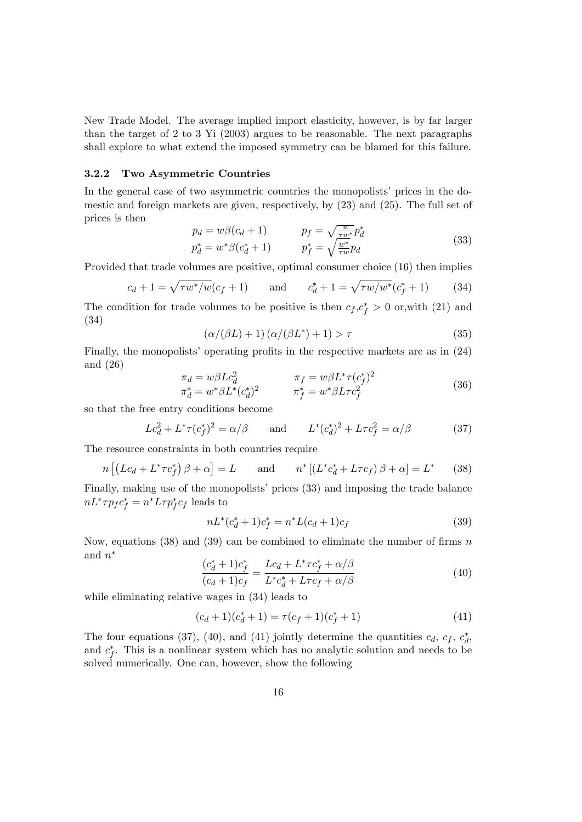New Trade Model. The average implied import elasticity, however, is by far larger than the target of 2 to 3 Yi (2003) argues to be reasonable. The next paragraphs shall explore to what extend the imposed symmetry can be blamed for this failure.

#### 3.2.2 Two Asymmetric Countries

In the general case of two asymmetric countries the monopolists' prices in the domestic and foreign markets are given, respectively, by (23) and (25). The full set of prices is then

$$
p_d = w\beta(c_d + 1)
$$

$$
p_f = \sqrt{\frac{w}{\tau w^*}} p_d^*
$$

$$
p_d^* = w^*\beta(c_d^* + 1)
$$

$$
p_f^* = \sqrt{\frac{w^*}{\tau w}} p_d
$$

$$
(33)
$$

Provided that trade volumes are positive, optimal consumer choice (16) then implies

$$
c_d + 1 = \sqrt{\tau w^* / w} (c_f + 1)
$$
 and  $c_d^* + 1 = \sqrt{\tau w / w^*} (c_f^* + 1)$  (34)

The condition for trade volumes to be positive is then  $c_f, c_f^* > 0$  or, with (21) and (34)

$$
(\alpha/(\beta L) + 1)\left(\alpha/(\beta L^*) + 1\right) > \tau \tag{35}
$$

Finally, the monopolists' operating profits in the respective markets are as in  $(24)$ and (26)

$$
\pi_d = w\beta L c_d^2 \qquad \pi_f = w\beta L^* \tau (c_f^*)^2 \n\pi_d^* = w^* \beta L^* (c_d^*)^2 \qquad \pi_f^* = w^* \beta L \tau c_f^2
$$
\n(36)

so that the free entry conditions become

$$
Lc_d^2 + L^*\tau(c_f^*)^2 = \alpha/\beta \qquad \text{and} \qquad L^*(c_d^*)^2 + L\tau c_f^2 = \alpha/\beta \tag{37}
$$

The resource constraints in both countries require

$$
n\left[\left(Lc_d + L^* \tau c_f^*\right)\beta + \alpha\right] = L \quad \text{and} \quad n^*\left[\left(L^* c_d^* + L \tau c_f\right)\beta + \alpha\right] = L^* \quad (38)
$$

Finally, making use of the monopolists' prices (33) and imposing the trade balance  $nL^* \tau p_f c_f^* = n^* L \tau p_f^* c_f$  leads to

$$
nL^*(c_d^* + 1)c_f^* = n^*L(c_d + 1)c_f
$$
\n(39)

Now, equations (38) and (39) can be combined to eliminate the number of firms  $n$ and  $n^*$ 

$$
\frac{(c_d^* + 1)c_f^*}{(c_d + 1)c_f} = \frac{Lc_d + L^* \tau c_f^* + \alpha/\beta}{L^* c_d^* + L \tau c_f + \alpha/\beta} \tag{40}
$$

while eliminating relative wages in (34) leads to

$$
(c_d+1)(c_d^*+1) = \tau(c_f+1)(c_f^*+1)
$$
\n(41)

The four equations (37), (40), and (41) jointly determine the quantities  $c_d$ ,  $c_f$ ,  $c_d^*$ , and  $c_f^*$ . This is a nonlinear system which has no analytic solution and needs to be solved numerically. One can, however, show the following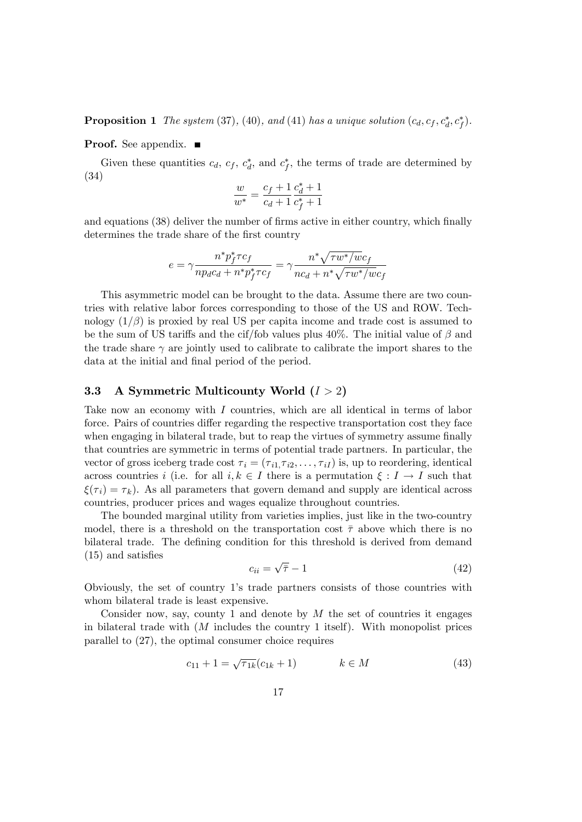**Proposition 1** The system (37), (40), and (41) has a unique solution  $(c_d, c_f, c_d^*, c_f^*)$ .

#### **Proof.** See appendix. ■

Given these quantities  $c_d$ ,  $c_f$ ,  $c_d^*$ , and  $c_f^*$ , the terms of trade are determined by (34)

$$
\frac{w}{w^*} = \frac{c_f + 1}{c_d + 1} \frac{c_d^* + 1}{c_f^* + 1}
$$

and equations (38) deliver the number of firms active in either country, which finally determines the trade share of the first country

$$
e = \gamma \frac{n^*p_f^* \tau c_f}{np_d c_d + n^*p_f^* \tau c_f} = \gamma \frac{n^* \sqrt{\tau w^* / w c_f}}{nc_d + n^* \sqrt{\tau w^* / w c_f}}
$$

This asymmetric model can be brought to the data. Assume there are two countries with relative labor forces corresponding to those of the US and ROW. Technology  $(1/\beta)$  is proxied by real US per capita income and trade cost is assumed to be the sum of US tariffs and the cif/fob values plus 40%. The initial value of  $\beta$  and the trade share  $\gamma$  are jointly used to calibrate to calibrate the import shares to the data at the initial and final period of the period.

#### 3.3 A Symmetric Multicounty World  $(I > 2)$

Take now an economy with I countries, which are all identical in terms of labor force. Pairs of countries differ regarding the respective transportation cost they face when engaging in bilateral trade, but to reap the virtues of symmetry assume finally that countries are symmetric in terms of potential trade partners. In particular, the vector of gross iceberg trade cost  $\tau_i = (\tau_{i1}, \tau_{i2}, \ldots, \tau_{iI})$  is, up to reordering, identical across countries i (i.e. for all  $i, k \in I$  there is a permutation  $\xi : I \to I$  such that  $\xi(\tau_i) = \tau_k$ ). As all parameters that govern demand and supply are identical across countries, producer prices and wages equalize throughout countries.

The bounded marginal utility from varieties implies, just like in the two-country model, there is a threshold on the transportation cost  $\bar{\tau}$  above which there is no bilateral trade. The defining condition for this threshold is derived from demand  $(15)$  and satisfies

$$
c_{ii} = \sqrt{\bar{\tau}} - 1\tag{42}
$$

Obviously, the set of country 1ís trade partners consists of those countries with whom bilateral trade is least expensive.

Consider now, say, county 1 and denote by  $M$  the set of countries it engages in bilateral trade with  $(M)$  includes the country 1 itself). With monopolist prices parallel to (27), the optimal consumer choice requires

$$
c_{11} + 1 = \sqrt{\tau_{1k}} (c_{1k} + 1) \qquad k \in M \tag{43}
$$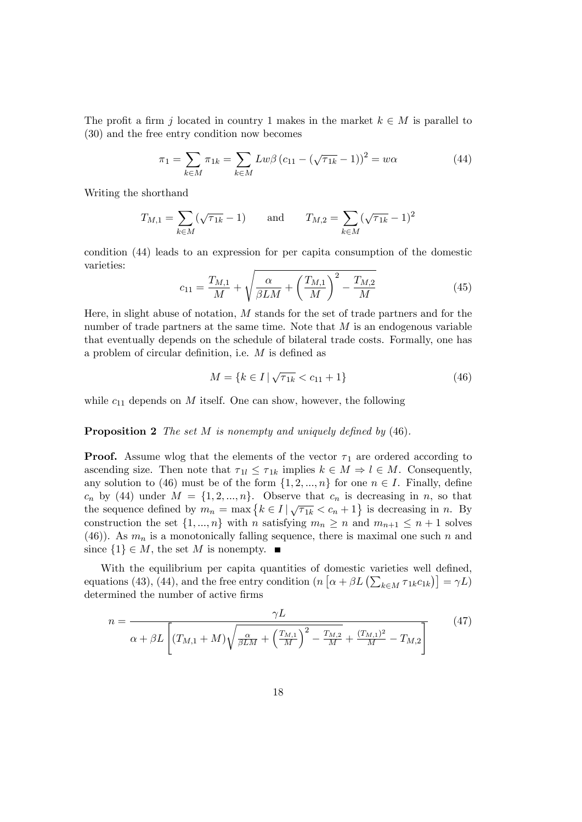The profit a firm j located in country 1 makes in the market  $k \in M$  is parallel to (30) and the free entry condition now becomes

$$
\pi_1 = \sum_{k \in M} \pi_{1k} = \sum_{k \in M} L w \beta (c_{11} - (\sqrt{\tau_{1k}} - 1))^2 = w \alpha
$$
 (44)

Writing the shorthand

$$
T_{M,1} = \sum_{k \in M} (\sqrt{\tau_{1k}} - 1)
$$
 and  $T_{M,2} = \sum_{k \in M} (\sqrt{\tau_{1k}} - 1)^2$ 

condition (44) leads to an expression for per capita consumption of the domestic varieties:

$$
c_{11} = \frac{T_{M,1}}{M} + \sqrt{\frac{\alpha}{\beta LM} + \left(\frac{T_{M,1}}{M}\right)^2 - \frac{T_{M,2}}{M}}
$$
(45)

Here, in slight abuse of notation,  $M$  stands for the set of trade partners and for the number of trade partners at the same time. Note that  $M$  is an endogenous variable that eventually depends on the schedule of bilateral trade costs. Formally, one has a problem of circular definition, i.e.  $M$  is defined as

$$
M = \{ k \in I \mid \sqrt{\tau_{1k}} < c_{11} + 1 \} \tag{46}
$$

while  $c_{11}$  depends on  $M$  itself. One can show, however, the following

#### **Proposition 2** The set  $M$  is nonempty and uniquely defined by  $(46)$ .

**Proof.** Assume wlog that the elements of the vector  $\tau_1$  are ordered according to ascending size. Then note that  $\tau_{1l} \leq \tau_{1k}$  implies  $k \in M \Rightarrow l \in M$ . Consequently, any solution to (46) must be of the form  $\{1, 2, ..., n\}$  for one  $n \in I$ . Finally, define  $c_n$  by (44) under  $M = \{1, 2, ..., n\}$ . Observe that  $c_n$  is decreasing in n, so that the sequence defined by  $m_n = \max\left\{k \in I \mid \sqrt{\tau_{1k}} < c_n + 1\right\}$  is decreasing in n. By construction the set  $\{1, ..., n\}$  with n satisfying  $m_n \geq n$  and  $m_{n+1} \leq n+1$  solves (46)). As  $m_n$  is a monotonically falling sequence, there is maximal one such n and since  $\{1\} \in M$ , the set M is nonempty.

With the equilibrium per capita quantities of domestic varieties well defined, equations (43), (44), and the free entry condition  $(n [\alpha + \beta L (\sum_{k \in M} \tau_{1k} c_{1k})] = \gamma L)$ determined the number of active firms

$$
n = \frac{\gamma L}{\alpha + \beta L \left[ (T_{M,1} + M) \sqrt{\frac{\alpha}{\beta L M} + \left(\frac{T_{M,1}}{M}\right)^2 - \frac{T_{M,2}}{M} + \frac{(T_{M,1})^2}{M} - T_{M,2} \right]}}
$$
(47)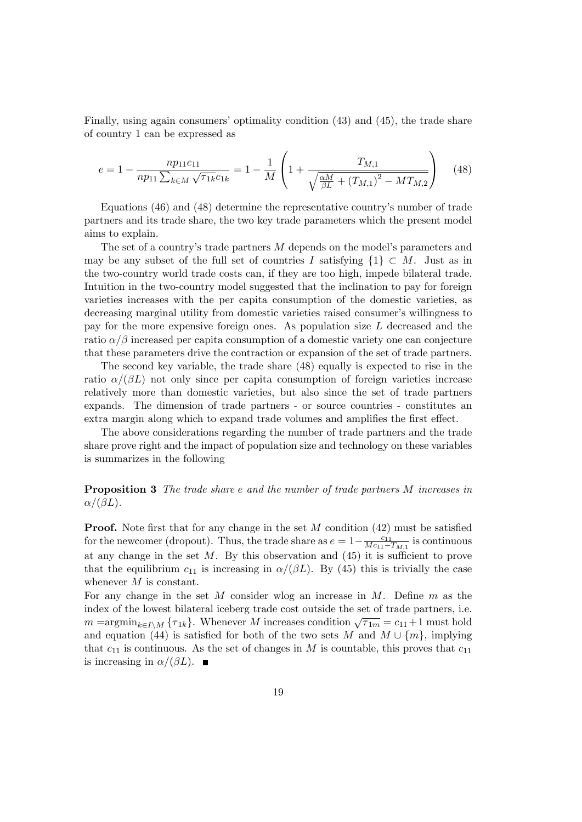Finally, using again consumers' optimality condition  $(43)$  and  $(45)$ , the trade share of country 1 can be expressed as

$$
e = 1 - \frac{np_{11}c_{11}}{np_{11} \sum_{k \in M} \sqrt{\tau_{1k}}c_{1k}} = 1 - \frac{1}{M} \left( 1 + \frac{T_{M,1}}{\sqrt{\frac{\alpha M}{\beta L} + (T_{M,1})^2 - MT_{M,2}}} \right) \tag{48}
$$

Equations (46) and (48) determine the representative country's number of trade partners and its trade share, the two key trade parameters which the present model aims to explain.

The set of a country's trade partners  $M$  depends on the model's parameters and may be any subset of the full set of countries I satisfying  $\{1\} \subset M$ . Just as in the two-country world trade costs can, if they are too high, impede bilateral trade. Intuition in the two-country model suggested that the inclination to pay for foreign varieties increases with the per capita consumption of the domestic varieties, as decreasing marginal utility from domestic varieties raised consumer's willingness to pay for the more expensive foreign ones. As population size L decreased and the ratio  $\alpha/\beta$  increased per capita consumption of a domestic variety one can conjecture that these parameters drive the contraction or expansion of the set of trade partners.

The second key variable, the trade share (48) equally is expected to rise in the ratio  $\alpha/(\beta L)$  not only since per capita consumption of foreign varieties increase relatively more than domestic varieties, but also since the set of trade partners expands. The dimension of trade partners - or source countries - constitutes an extra margin along which to expand trade volumes and amplifies the first effect.

The above considerations regarding the number of trade partners and the trade share prove right and the impact of population size and technology on these variables is summarizes in the following

#### Proposition 3 The trade share e and the number of trade partners M increases in  $\alpha/(\beta L)$ .

**Proof.** Note first that for any change in the set  $M$  condition (42) must be satisfied for the newcomer (dropout). Thus, the trade share as  $e = 1 - \frac{c_{11}}{Mc_{11} - c_{12}}$  $\frac{c_{11}}{Mc_{11}-T_{M,1}}$  is continuous at any change in the set  $M$ . By this observation and  $(45)$  it is sufficient to prove that the equilibrium  $c_{11}$  is increasing in  $\alpha/(\beta L)$ . By (45) this is trivially the case whenever M is constant.

For any change in the set M consider wlog an increase in  $M$ . Define  $m$  as the index of the lowest bilateral iceberg trade cost outside the set of trade partners, i.e.  $m = \operatorname{argmin}_{k \in I \setminus M} \{\tau_{1k}\}.$  Whenever M increases condition  $\sqrt{\tau_{1m}} = c_{11} + 1$  must hold and equation (44) is satisfied for both of the two sets M and  $M \cup \{m\}$ , implying that  $c_{11}$  is continuous. As the set of changes in M is countable, this proves that  $c_{11}$ is increasing in  $\alpha/(\beta L)$ .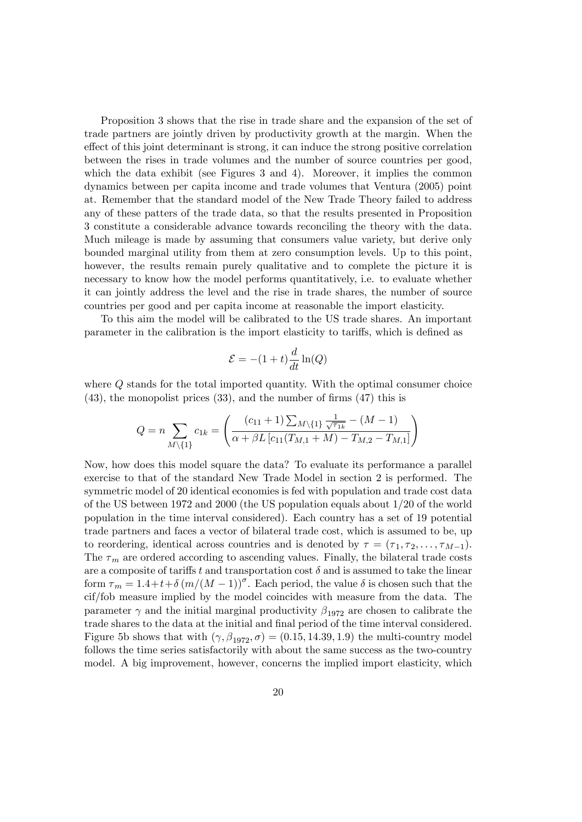Proposition 3 shows that the rise in trade share and the expansion of the set of trade partners are jointly driven by productivity growth at the margin. When the effect of this joint determinant is strong, it can induce the strong positive correlation between the rises in trade volumes and the number of source countries per good, which the data exhibit (see Figures 3 and 4). Moreover, it implies the common dynamics between per capita income and trade volumes that Ventura (2005) point at. Remember that the standard model of the New Trade Theory failed to address any of these patters of the trade data, so that the results presented in Proposition 3 constitute a considerable advance towards reconciling the theory with the data. Much mileage is made by assuming that consumers value variety, but derive only bounded marginal utility from them at zero consumption levels. Up to this point, however, the results remain purely qualitative and to complete the picture it is necessary to know how the model performs quantitatively, i.e. to evaluate whether it can jointly address the level and the rise in trade shares, the number of source countries per good and per capita income at reasonable the import elasticity.

To this aim the model will be calibrated to the US trade shares. An important parameter in the calibration is the import elasticity to tariffs, which is defined as

$$
\mathcal{E} = -(1+t)\frac{d}{dt}\ln(Q)
$$

where Q stands for the total imported quantity. With the optimal consumer choice  $(43)$ , the monopolist prices  $(33)$ , and the number of firms  $(47)$  this is

$$
Q = n \sum_{M \setminus \{1\}} c_{1k} = \left( \frac{(c_{11} + 1) \sum_{M \setminus \{1\}} \frac{1}{\sqrt{\tau_{1k}}} - (M - 1)}{\alpha + \beta L \left[c_{11}(T_{M,1} + M) - T_{M,2} - T_{M,1}\right]} \right)
$$

Now, how does this model square the data? To evaluate its performance a parallel exercise to that of the standard New Trade Model in section 2 is performed. The symmetric model of 20 identical economies is fed with population and trade cost data of the US between 1972 and 2000 (the US population equals about 1/20 of the world population in the time interval considered). Each country has a set of 19 potential trade partners and faces a vector of bilateral trade cost, which is assumed to be, up to reordering, identical across countries and is denoted by  $\tau = (\tau_1, \tau_2, \ldots, \tau_{M-1}).$ The  $\tau_m$  are ordered according to ascending values. Finally, the bilateral trade costs are a composite of tariffs t and transportation cost  $\delta$  and is assumed to take the linear form  $\tau_m = 1.4 + t + \delta (m/(M - 1))^{\sigma}$ . Each period, the value  $\delta$  is chosen such that the cif/fob measure implied by the model coincides with measure from the data. The parameter  $\gamma$  and the initial marginal productivity  $\beta_{1972}$  are chosen to calibrate the trade shares to the data at the initial and final period of the time interval considered. Figure 5b shows that with  $(\gamma, \beta_{1972}, \sigma) = (0.15, 14.39, 1.9)$  the multi-country model follows the time series satisfactorily with about the same success as the two-country model. A big improvement, however, concerns the implied import elasticity, which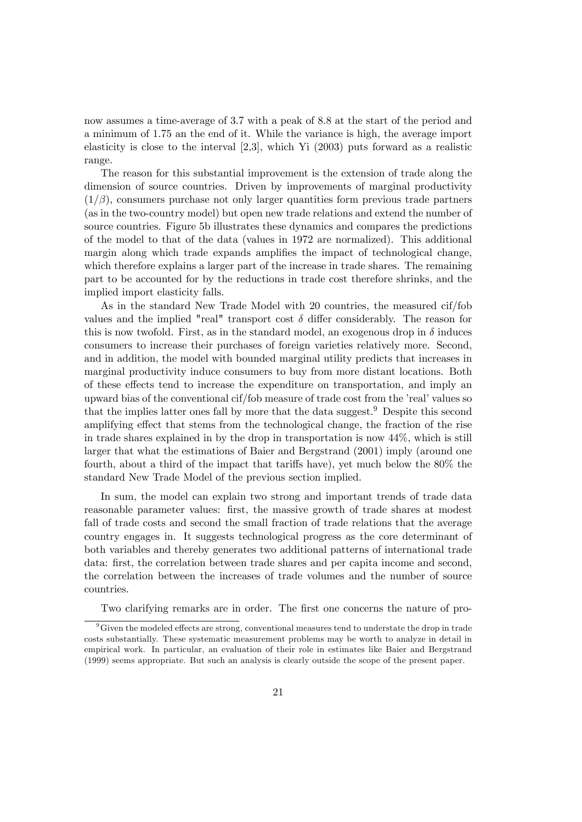now assumes a time-average of 3.7 with a peak of 8.8 at the start of the period and a minimum of 1.75 an the end of it. While the variance is high, the average import elasticity is close to the interval [2,3], which Yi (2003) puts forward as a realistic range.

The reason for this substantial improvement is the extension of trade along the dimension of source countries. Driven by improvements of marginal productivity  $(1/\beta)$ , consumers purchase not only larger quantities form previous trade partners (as in the two-country model) but open new trade relations and extend the number of source countries. Figure 5b illustrates these dynamics and compares the predictions of the model to that of the data (values in 1972 are normalized). This additional margin along which trade expands amplifies the impact of technological change, which therefore explains a larger part of the increase in trade shares. The remaining part to be accounted for by the reductions in trade cost therefore shrinks, and the implied import elasticity falls.

As in the standard New Trade Model with 20 countries, the measured cif/fob values and the implied "real" transport cost  $\delta$  differ considerably. The reason for this is now twofold. First, as in the standard model, an exogenous drop in  $\delta$  induces consumers to increase their purchases of foreign varieties relatively more. Second, and in addition, the model with bounded marginal utility predicts that increases in marginal productivity induce consumers to buy from more distant locations. Both of these effects tend to increase the expenditure on transportation, and imply an upward bias of the conventional cif/fob measure of trade cost from the 'real' values so that the implies latter ones fall by more that the data suggest.<sup>9</sup> Despite this second amplifying effect that stems from the technological change, the fraction of the rise in trade shares explained in by the drop in transportation is now  $44\%$ , which is still larger that what the estimations of Baier and Bergstrand (2001) imply (around one fourth, about a third of the impact that tariffs have), yet much below the 80% the standard New Trade Model of the previous section implied.

In sum, the model can explain two strong and important trends of trade data reasonable parameter values: first, the massive growth of trade shares at modest fall of trade costs and second the small fraction of trade relations that the average country engages in. It suggests technological progress as the core determinant of both variables and thereby generates two additional patterns of international trade data: first, the correlation between trade shares and per capita income and second, the correlation between the increases of trade volumes and the number of source countries.

Two clarifying remarks are in order. The first one concerns the nature of pro-

 $9^9$  Given the modeled effects are strong, conventional measures tend to understate the drop in trade costs substantially. These systematic measurement problems may be worth to analyze in detail in empirical work. In particular, an evaluation of their role in estimates like Baier and Bergstrand (1999) seems appropriate. But such an analysis is clearly outside the scope of the present paper.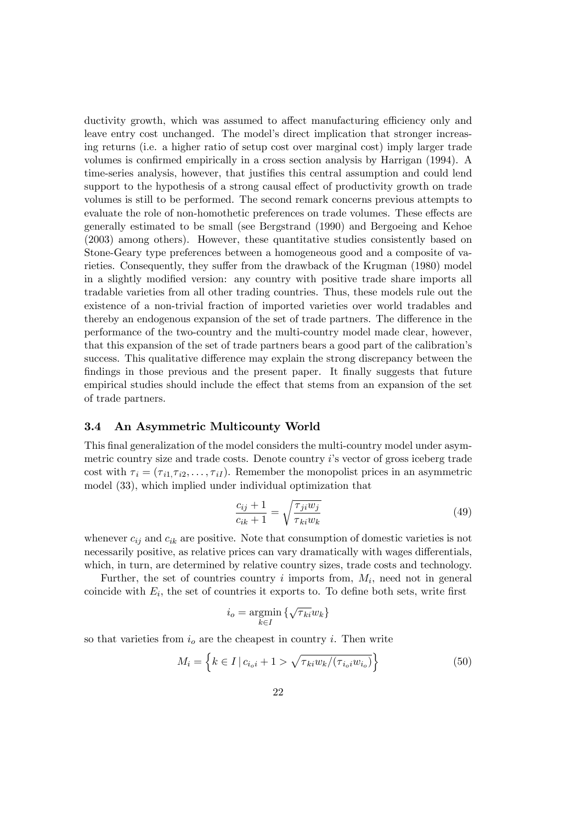ductivity growth, which was assumed to affect manufacturing efficiency only and leave entry cost unchanged. The model's direct implication that stronger increasing returns (i.e. a higher ratio of setup cost over marginal cost) imply larger trade volumes is confirmed empirically in a cross section analysis by Harrigan (1994). A time-series analysis, however, that justifies this central assumption and could lend support to the hypothesis of a strong causal effect of productivity growth on trade volumes is still to be performed. The second remark concerns previous attempts to evaluate the role of non-homothetic preferences on trade volumes. These effects are generally estimated to be small (see Bergstrand (1990) and Bergoeing and Kehoe (2003) among others). However, these quantitative studies consistently based on Stone-Geary type preferences between a homogeneous good and a composite of varieties. Consequently, they suffer from the drawback of the Krugman (1980) model in a slightly modified version: any country with positive trade share imports all tradable varieties from all other trading countries. Thus, these models rule out the existence of a non-trivial fraction of imported varieties over world tradables and thereby an endogenous expansion of the set of trade partners. The difference in the performance of the two-country and the multi-country model made clear, however, that this expansion of the set of trade partners bears a good part of the calibration's success. This qualitative difference may explain the strong discrepancy between the findings in those previous and the present paper. It finally suggests that future empirical studies should include the effect that stems from an expansion of the set of trade partners.

#### 3.4 An Asymmetric Multicounty World

This final generalization of the model considers the multi-country model under asymmetric country size and trade costs. Denote country i's vector of gross iceberg trade cost with  $\tau_i = (\tau_{i1}, \tau_{i2}, \ldots, \tau_{iI})$ . Remember the monopolist prices in an asymmetric model (33), which implied under individual optimization that

$$
\frac{c_{ij} + 1}{c_{ik} + 1} = \sqrt{\frac{\tau_{ji} w_j}{\tau_{ki} w_k}}\tag{49}
$$

whenever  $c_{ij}$  and  $c_{ik}$  are positive. Note that consumption of domestic varieties is not necessarily positive, as relative prices can vary dramatically with wages differentials. which, in turn, are determined by relative country sizes, trade costs and technology.

Further, the set of countries country  $i$  imports from,  $M_i$ , need not in general coincide with  $E_i$ , the set of countries it exports to. To define both sets, write first

$$
i_o = \operatornamewithlimits{argmin}\limits_{k \in I} \left\{ \sqrt{\tau_{ki}} w_k \right\}
$$

so that varieties from  $i<sub>o</sub>$  are the cheapest in country i. Then write

$$
M_i = \left\{ k \in I \, | \, c_{i_o i} + 1 > \sqrt{\tau_{k i} w_k / (\tau_{i_o i} w_{i_o})} \right\} \tag{50}
$$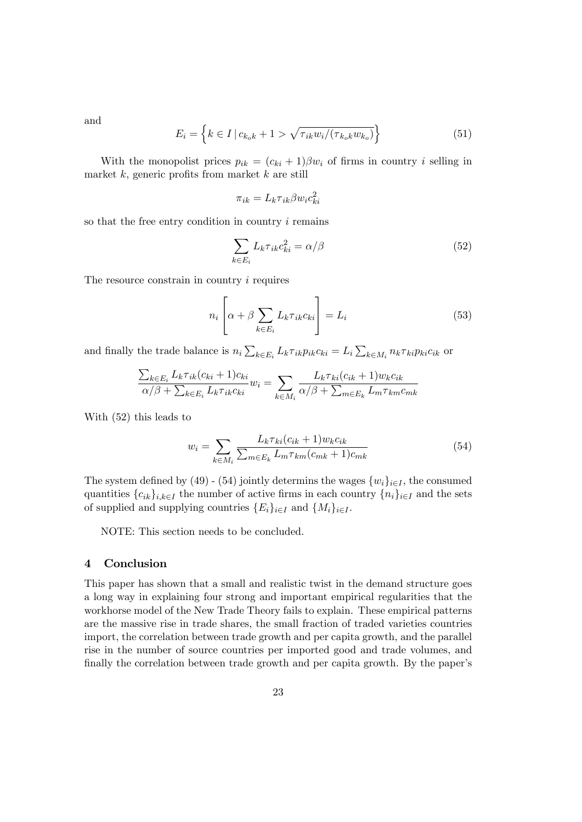and

$$
E_i = \left\{ k \in I \, | \, c_{k_o k} + 1 > \sqrt{\tau_{ik} w_i / (\tau_{k_o k} w_{k_o})} \right\}
$$
(51)

With the monopolist prices  $p_{ik} = (c_{ki} + 1)\beta w_i$  of firms in country i selling in market  $k$ , generic profits from market  $k$  are still

$$
\pi_{ik} = L_k \tau_{ik} \beta w_i c_{ki}^2
$$

so that the free entry condition in country i remains

$$
\sum_{k \in E_i} L_k \tau_{ik} c_{ki}^2 = \alpha / \beta \tag{52}
$$

The resource constrain in country *i* requires

$$
n_i \left[ \alpha + \beta \sum_{k \in E_i} L_k \tau_{ik} c_{ki} \right] = L_i \tag{53}
$$

and finally the trade balance is  $n_i \sum_{k \in E_i} L_k \tau_{ik} p_{ik} c_{ki} = L_i \sum_{k \in M_i} n_k \tau_{ki} p_{ki} c_{ik}$  or

$$
\frac{\sum_{k \in E_i} L_k \tau_{ik}(c_{ki} + 1)c_{ki}}{\alpha/\beta + \sum_{k \in E_i} L_k \tau_{ik}c_{ki}} w_i = \sum_{k \in M_i} \frac{L_k \tau_{ki}(c_{ik} + 1)w_k c_{ik}}{\alpha/\beta + \sum_{m \in E_k} L_m \tau_{km}c_{mk}}
$$

With (52) this leads to

$$
w_i = \sum_{k \in M_i} \frac{L_k \tau_{ki}(c_{ik} + 1) w_k c_{ik}}{\sum_{m \in E_k} L_m \tau_{km}(c_{mk} + 1) c_{mk}}
$$
(54)

The system defined by (49) - (54) jointly determins the wages  $\{w_i\}_{i\in I}$ , the consumed quantities  $\{c_{ik}\}_{i,k\in I}$  the number of active firms in each country  $\{n_i\}_{i\in I}$  and the sets of supplied and supplying countries  $\{E_i\}_{i\in I}$  and  $\{M_i\}_{i\in I}$ .

NOTE: This section needs to be concluded.

#### 4 Conclusion

This paper has shown that a small and realistic twist in the demand structure goes a long way in explaining four strong and important empirical regularities that the workhorse model of the New Trade Theory fails to explain. These empirical patterns are the massive rise in trade shares, the small fraction of traded varieties countries import, the correlation between trade growth and per capita growth, and the parallel rise in the number of source countries per imported good and trade volumes, and finally the correlation between trade growth and per capita growth. By the paper's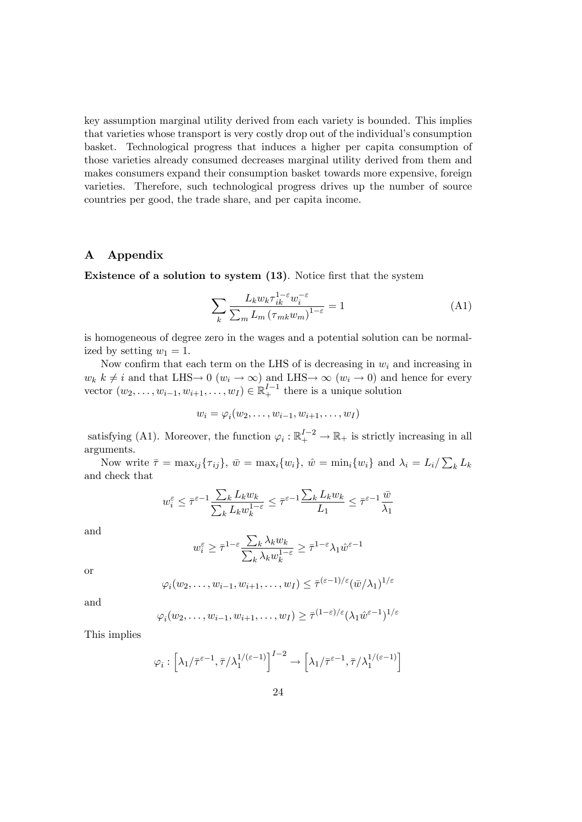key assumption marginal utility derived from each variety is bounded. This implies that varieties whose transport is very costly drop out of the individual's consumption basket. Technological progress that induces a higher per capita consumption of those varieties already consumed decreases marginal utility derived from them and makes consumers expand their consumption basket towards more expensive, foreign varieties. Therefore, such technological progress drives up the number of source countries per good, the trade share, and per capita income.

#### A Appendix

Existence of a solution to system  $(13)$ . Notice first that the system

$$
\sum_{k} \frac{L_k w_k \tau_{ik}^{1-\epsilon} w_i^{-\epsilon}}{\sum_{m} L_m \left(\tau_{mk} w_m\right)^{1-\epsilon}} = 1 \tag{A1}
$$

is homogeneous of degree zero in the wages and a potential solution can be normalized by setting  $w_1 = 1$ .

Now confirm that each term on the LHS of is decreasing in  $w_i$  and increasing in  $w_k$   $k \neq i$  and that LHS  $\rightarrow$  0  $(w_i \rightarrow \infty)$  and LHS  $\rightarrow \infty$   $(w_i \rightarrow 0)$  and hence for every vector  $(w_2, \ldots, w_{i-1}, w_{i+1}, \ldots, w_I) \in \mathbb{R}^{I-1}_+$  there is a unique solution

$$
w_i = \varphi_i(w_2, \dots, w_{i-1}, w_{i+1}, \dots, w_I)
$$

satisfying (A1). Moreover, the function  $\varphi_i : \mathbb{R}^{I-2}_+ \to \mathbb{R}_+$  is strictly increasing in all arguments.

Now write  $\bar{\tau} = \max_{ij} {\{\tau_{ij}\}}, \ \bar{w} = \max_{i} {w_i}, \ \hat{w} = \min_{i} {w_i} \}$  and  $\lambda_i = L_i / \sum_{k} L_k$ and check that

$$
w_i^\varepsilon \leq \bar \tau^{\varepsilon-1} \frac{\sum_k L_k w_k}{\sum_k L_k w_k^{1-\varepsilon}} \leq \bar \tau^{\varepsilon-1} \frac{\sum_k L_k w_k}{L_1} \leq \bar \tau^{\varepsilon-1} \frac{\bar w}{\lambda_1}
$$

and

$$
w^{\varepsilon}_i \geq \bar{\tau}^{1-\varepsilon} \frac{\sum_k \lambda_k w_k}{\sum_k \lambda_k w_k^{1-\varepsilon}} \geq \bar{\tau}^{1-\varepsilon} \lambda_1 \hat{w}^{\varepsilon-1}
$$

or

$$
\varphi_i(w_2,\ldots,w_{i-1},w_{i+1},\ldots,w_I) \leq \overline{\tau}^{(\varepsilon-1)/\varepsilon}(\overline{w}/\lambda_1)^{1/\varepsilon}
$$

and

$$
\varphi_i(w_2,\ldots,w_{i-1},w_{i+1},\ldots,w_I) \geq \overline{\tau}^{(1-\varepsilon)/\varepsilon}(\lambda_1 \hat{w}^{\varepsilon-1})^{1/\varepsilon}
$$

This implies

$$
\varphi_i : \left[ \lambda_1 / \bar{\tau}^{\varepsilon - 1}, \bar{\tau} / \lambda_1^{1/(\varepsilon - 1)} \right]^{I - 2} \to \left[ \lambda_1 / \bar{\tau}^{\varepsilon - 1}, \bar{\tau} / \lambda_1^{1/(\varepsilon - 1)} \right]
$$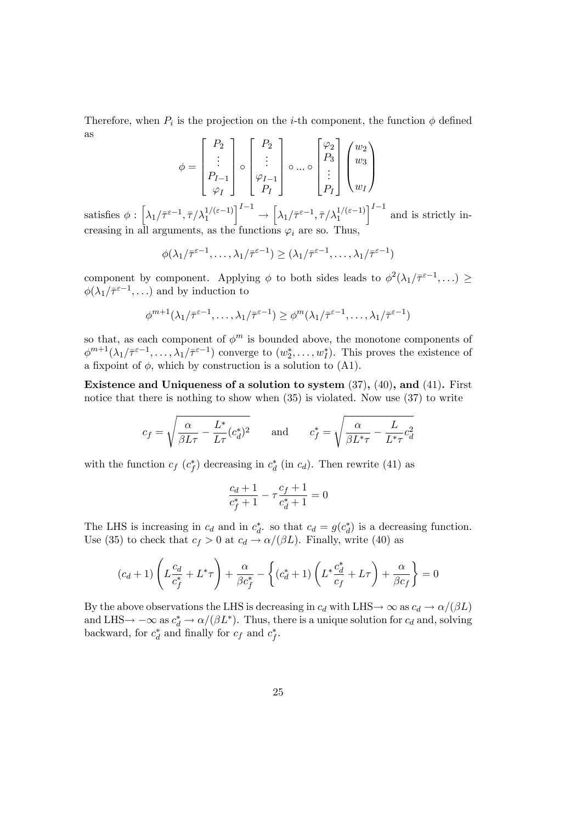Therefore, when  $P_i$  is the projection on the *i*-th component, the function  $\phi$  defined as

$$
\phi = \begin{bmatrix} P_2 \\ \vdots \\ P_{I-1} \\ \varphi_I \end{bmatrix} \circ \begin{bmatrix} P_2 \\ \vdots \\ P_{I-1} \\ P_I \end{bmatrix} \circ \dots \circ \begin{bmatrix} \varphi_2 \\ P_3 \\ \vdots \\ P_I \end{bmatrix} \begin{pmatrix} w_2 \\ w_3 \\ \vdots \\ w_I \end{pmatrix}
$$

satisfies  $\phi : [\lambda_1/\bar{\tau}^{\varepsilon-1}, \bar{\tau}/\lambda_1^{1/(\varepsilon-1)}]$  $I^{-1}$  $\rightarrow$  $\Big[\lambda_1/\bar{\tau}^{\varepsilon - 1}, \bar{\tau}/\lambda_1^{1/(\varepsilon - 1)}$  $\int_0^{I-1}$  and is strictly increasing in all arguments, as the functions  $\varphi_i$  are so. Thus,

$$
\phi(\lambda_1/\bar{\tau}^{\varepsilon-1},\ldots,\lambda_1/\bar{\tau}^{\varepsilon-1})\geq (\lambda_1/\bar{\tau}^{\varepsilon-1},\ldots,\lambda_1/\bar{\tau}^{\varepsilon-1})
$$

component by component. Applying  $\phi$  to both sides leads to  $\phi^2(\lambda_1/\bar{\tau}^{\varepsilon-1},...) \ge$  $\phi(\lambda_1/\bar{\tau}^{\varepsilon-1},\ldots)$  and by induction to

$$
\phi^{m+1}(\lambda_1/\bar{\tau}^{\varepsilon-1},\ldots,\lambda_1/\bar{\tau}^{\varepsilon-1}) \geq \phi^m(\lambda_1/\bar{\tau}^{\varepsilon-1},\ldots,\lambda_1/\bar{\tau}^{\varepsilon-1})
$$

so that, as each component of  $\phi^m$  is bounded above, the monotone components of  $\phi^{m+1}(\lambda_1/\bar{\tau}^{\varepsilon-1},\ldots,\lambda_1/\bar{\tau}^{\varepsilon-1})$  converge to  $(w_2^*,\ldots,w_I^*)$ . This proves the existence of a fixpoint of  $\phi$ , which by construction is a solution to (A1).

Existence and Uniqueness of a solution to system  $(37)$ ,  $(40)$ , and  $(41)$ . First notice that there is nothing to show when (35) is violated. Now use (37) to write

$$
c_f = \sqrt{\frac{\alpha}{\beta L \tau} - \frac{L^*}{L \tau} (c_d^*)^2} \quad \text{and} \quad c_f^* = \sqrt{\frac{\alpha}{\beta L^* \tau} - \frac{L}{L^* \tau} c_d^2}
$$

with the function  $c_f$   $(c_f^*)$  decreasing in  $c_d^*$  (in  $c_d$ ). Then rewrite (41) as

$$
\frac{c_d+1}{c_f^*+1} - \tau \frac{c_f+1}{c_d^*+1} = 0
$$

The LHS is increasing in  $c_d$  and in  $c_d^*$ , so that  $c_d = g(c_d^*)$  is a decreasing function. Use (35) to check that  $c_f > 0$  at  $c_d \rightarrow \alpha/(\beta L)$ . Finally, write (40) as

$$
(c_d+1)\left(L\frac{c_d}{c_f^*}+L^*\tau\right)+\frac{\alpha}{\beta c_f^*}-\left\{(c_d^*+1)\left(L^*\frac{c_d^*}{c_f}+L\tau\right)+\frac{\alpha}{\beta c_f}\right\}=0
$$

By the above observations the LHS is decreasing in  $c_d$  with LHS  $\rightarrow \infty$  as  $c_d \rightarrow \alpha/(\beta L)$ and LHS $\rightarrow -\infty$  as  $c_d^* \rightarrow \alpha/(\beta L^*)$ . Thus, there is a unique solution for  $c_d$  and, solving backward, for  $c_d^*$  and finally for  $c_f$  and  $c_f^*$ .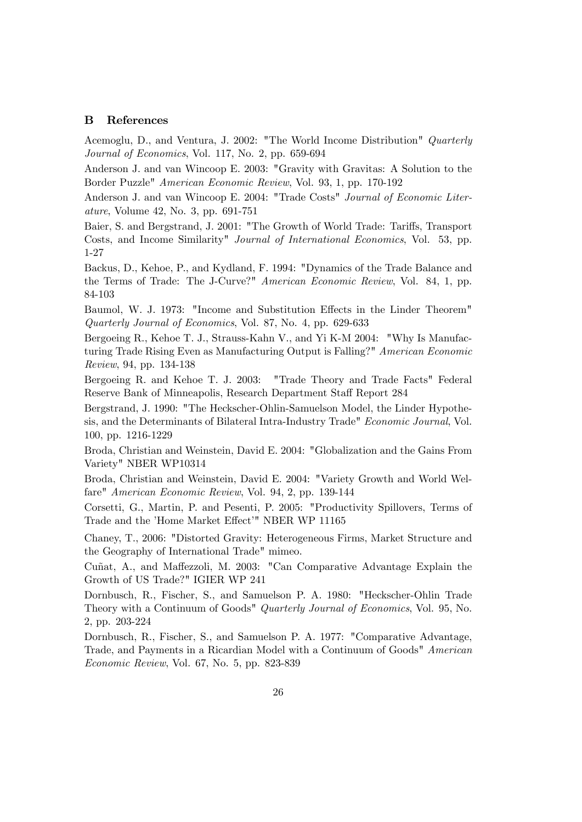#### B References

Acemoglu, D., and Ventura, J. 2002: "The World Income Distribution" Quarterly Journal of Economics, Vol. 117, No. 2, pp. 659-694

Anderson J. and van Wincoop E. 2003: "Gravity with Gravitas: A Solution to the Border Puzzle" American Economic Review, Vol. 93, 1, pp. 170-192

Anderson J. and van Wincoop E. 2004: "Trade Costs" Journal of Economic Literature, Volume 42, No. 3, pp. 691-751

Baier, S. and Bergstrand, J. 2001: "The Growth of World Trade: Tariffs, Transport Costs, and Income Similarity" Journal of International Economics, Vol. 53, pp. 1-27

Backus, D., Kehoe, P., and Kydland, F. 1994: "Dynamics of the Trade Balance and the Terms of Trade: The J-Curve?" American Economic Review, Vol. 84, 1, pp. 84-103

Baumol, W. J. 1973: "Income and Substitution Effects in the Linder Theorem" Quarterly Journal of Economics, Vol. 87, No. 4, pp. 629-633

Bergoeing R., Kehoe T. J., Strauss-Kahn V., and Yi K-M 2004: "Why Is Manufacturing Trade Rising Even as Manufacturing Output is Falling?" American Economic Review, 94, pp. 134-138

Bergoeing R. and Kehoe T. J. 2003: "Trade Theory and Trade Facts" Federal Reserve Bank of Minneapolis, Research Department Staff Report 284

Bergstrand, J. 1990: "The Heckscher-Ohlin-Samuelson Model, the Linder Hypothesis, and the Determinants of Bilateral Intra-Industry Trade" Economic Journal, Vol. 100, pp. 1216-1229

Broda, Christian and Weinstein, David E. 2004: "Globalization and the Gains From Variety" NBER WP10314

Broda, Christian and Weinstein, David E. 2004: "Variety Growth and World Welfare" American Economic Review, Vol. 94, 2, pp. 139-144

Corsetti, G., Martin, P. and Pesenti, P. 2005: "Productivity Spillovers, Terms of Trade and the 'Home Market Effect'" NBER WP 11165

Chaney, T., 2006: "Distorted Gravity: Heterogeneous Firms, Market Structure and the Geography of International Trade" mimeo.

Cuñat, A., and Maffezzoli, M. 2003: "Can Comparative Advantage Explain the Growth of US Trade?" IGIER WP 241

Dornbusch, R., Fischer, S., and Samuelson P. A. 1980: "Heckscher-Ohlin Trade Theory with a Continuum of Goods" Quarterly Journal of Economics, Vol. 95, No. 2, pp. 203-224

Dornbusch, R., Fischer, S., and Samuelson P. A. 1977: "Comparative Advantage, Trade, and Payments in a Ricardian Model with a Continuum of Goods" American Economic Review, Vol. 67, No. 5, pp. 823-839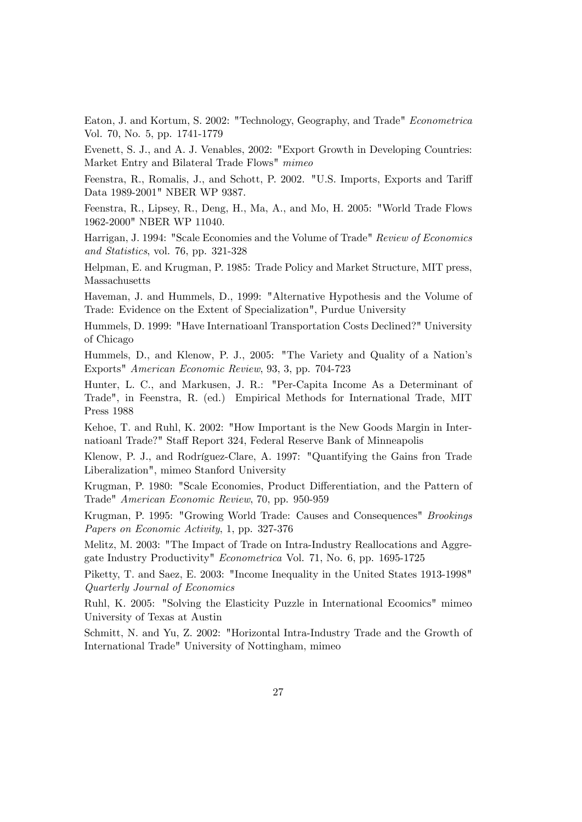Eaton, J. and Kortum, S. 2002: "Technology, Geography, and Trade" Econometrica Vol. 70, No. 5, pp. 1741-1779

Evenett, S. J., and A. J. Venables, 2002: "Export Growth in Developing Countries: Market Entry and Bilateral Trade Flows" mimeo

Feenstra, R., Romalis, J., and Schott, P. 2002. "U.S. Imports, Exports and Tariff Data 1989-2001" NBER WP 9387.

Feenstra, R., Lipsey, R., Deng, H., Ma, A., and Mo, H. 2005: "World Trade Flows 1962-2000" NBER WP 11040.

Harrigan, J. 1994: "Scale Economies and the Volume of Trade" Review of Economics and Statistics, vol. 76, pp. 321-328

Helpman, E. and Krugman, P. 1985: Trade Policy and Market Structure, MIT press, Massachusetts

Haveman, J. and Hummels, D., 1999: "Alternative Hypothesis and the Volume of Trade: Evidence on the Extent of Specialization", Purdue University

Hummels, D. 1999: "Have Internatioanl Transportation Costs Declined?" University of Chicago

Hummels, D., and Klenow, P. J., 2005: "The Variety and Quality of a Nation's Exports" American Economic Review, 93, 3, pp. 704-723

Hunter, L. C., and Markusen, J. R.: "Per-Capita Income As a Determinant of Trade", in Feenstra, R. (ed.) Empirical Methods for International Trade, MIT Press 1988

Kehoe, T. and Ruhl, K. 2002: "How Important is the New Goods Margin in Internatioanl Trade?" Staff Report 324, Federal Reserve Bank of Minneapolis

Klenow, P. J., and Rodríguez-Clare, A. 1997: "Quantifying the Gains fron Trade Liberalization", mimeo Stanford University

Krugman, P. 1980: "Scale Economies, Product Differentiation, and the Pattern of Trade" American Economic Review, 70, pp. 950-959

Krugman, P. 1995: "Growing World Trade: Causes and Consequences" Brookings Papers on Economic Activity, 1, pp. 327-376

Melitz, M. 2003: "The Impact of Trade on Intra-Industry Reallocations and Aggregate Industry Productivity" Econometrica Vol. 71, No. 6, pp. 1695-1725

Piketty, T. and Saez, E. 2003: "Income Inequality in the United States 1913-1998" Quarterly Journal of Economics

Ruhl, K. 2005: "Solving the Elasticity Puzzle in International Ecoomics" mimeo University of Texas at Austin

Schmitt, N. and Yu, Z. 2002: "Horizontal Intra-Industry Trade and the Growth of International Trade" University of Nottingham, mimeo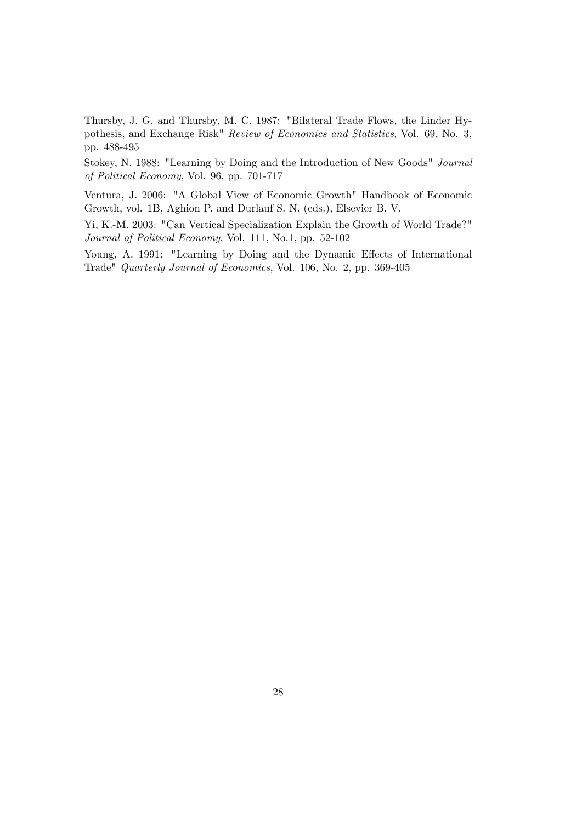Thursby, J. G. and Thursby, M. C. 1987: "Bilateral Trade Flows, the Linder Hypothesis, and Exchange Risk" Review of Economics and Statistics, Vol. 69, No. 3, pp. 488-495

Stokey, N. 1988: "Learning by Doing and the Introduction of New Goods" Journal of Political Economy, Vol. 96, pp. 701-717

Ventura, J. 2006: "A Global View of Economic Growth" Handbook of Economic Growth, vol. 1B, Aghion P. and Durlauf S. N. (eds.), Elsevier B. V.

Yi, K.-M. 2003: "Can Vertical Specialization Explain the Growth of World Trade?" Journal of Political Economy, Vol. 111, No.1, pp. 52-102

Young, A. 1991: "Learning by Doing and the Dynamic Effects of International Trade" Quarterly Journal of Economics, Vol. 106, No. 2, pp. 369-405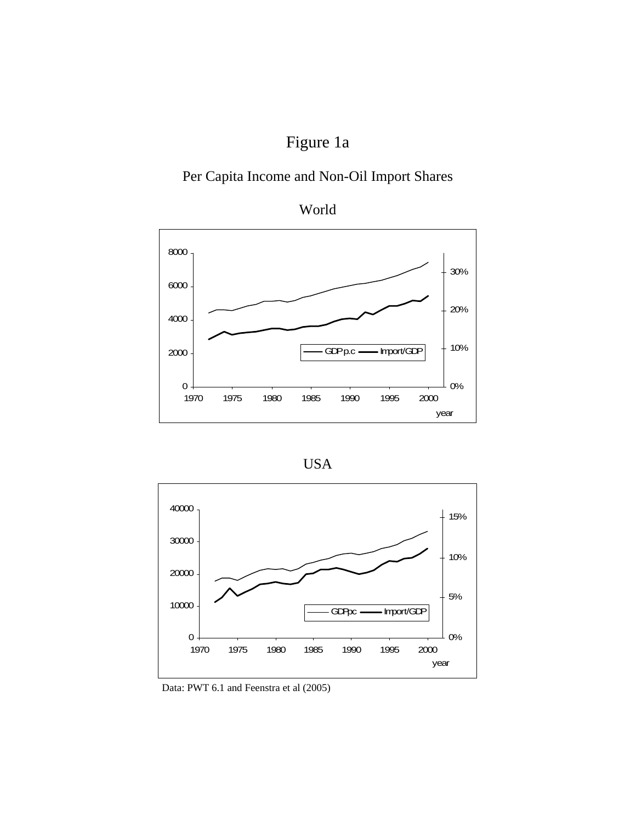# Figure 1a

### Per Capita Income and Non-Oil Import Shares









Data: PWT 6.1 and Feenstra et al (2005)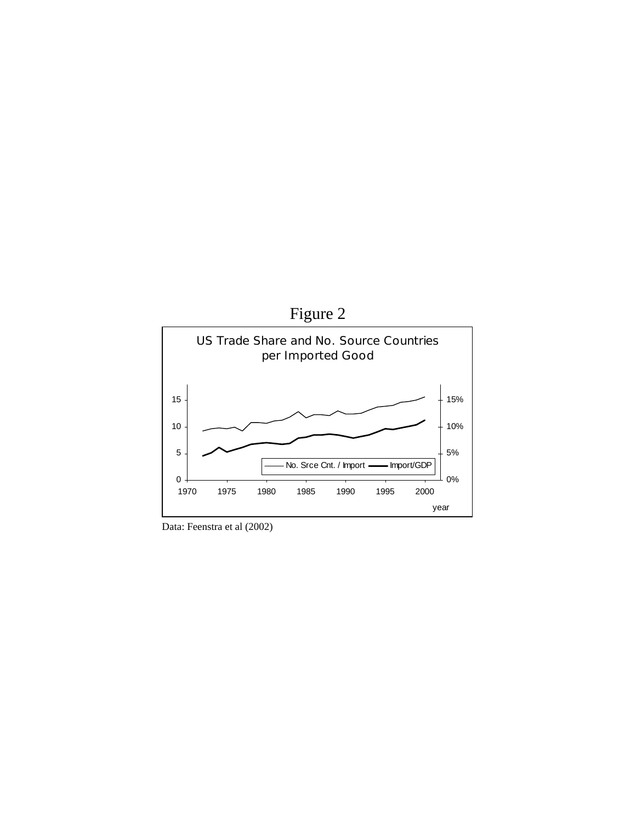

Data: Feenstra et al (2002)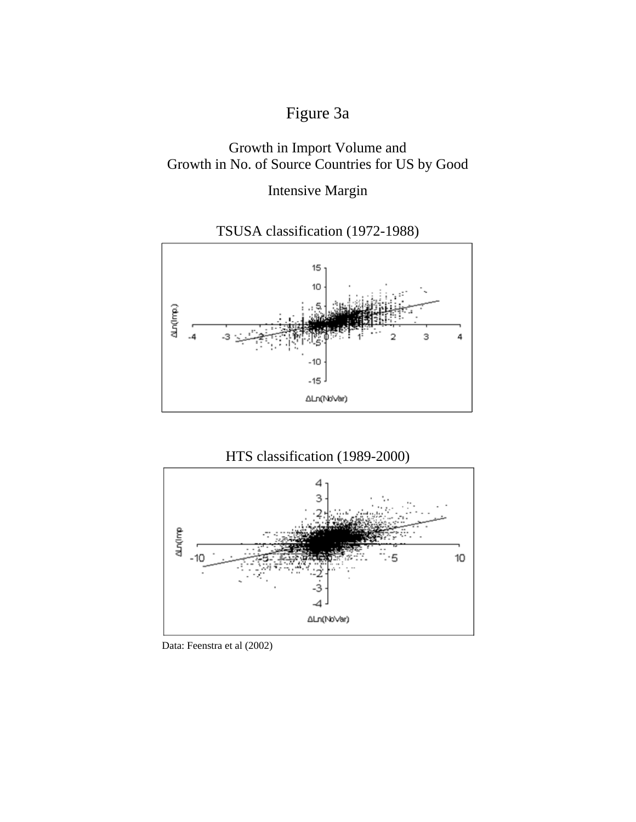# Figure 3a

### Growth in Import Volume and Growth in No. of Source Countries for US by Good

Intensive Margin







Data: Feenstra et al (2002)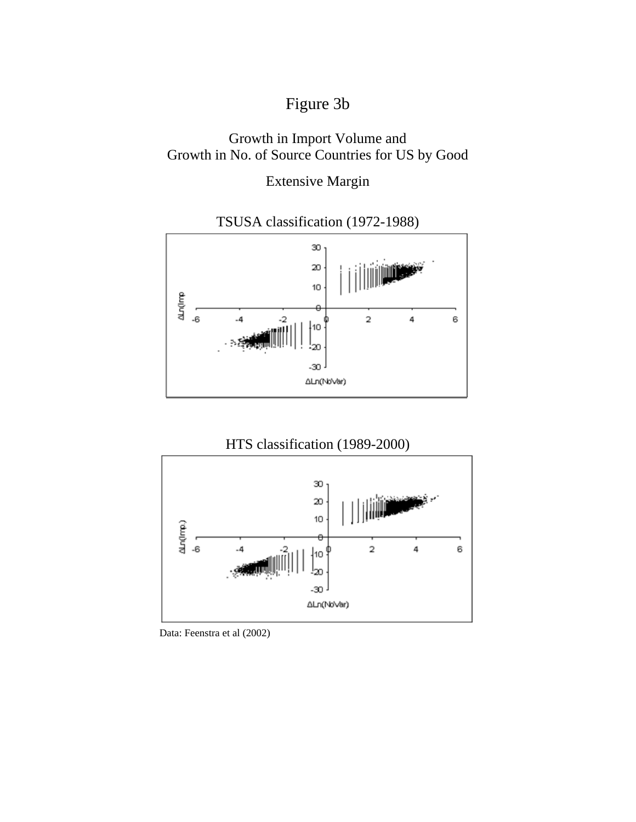# Figure 3b

### Growth in Import Volume and Growth in No. of Source Countries for US by Good

Extensive Margin



TSUSA classification (1972-1988)

### HTS classification (1989-2000)



Data: Feenstra et al (2002)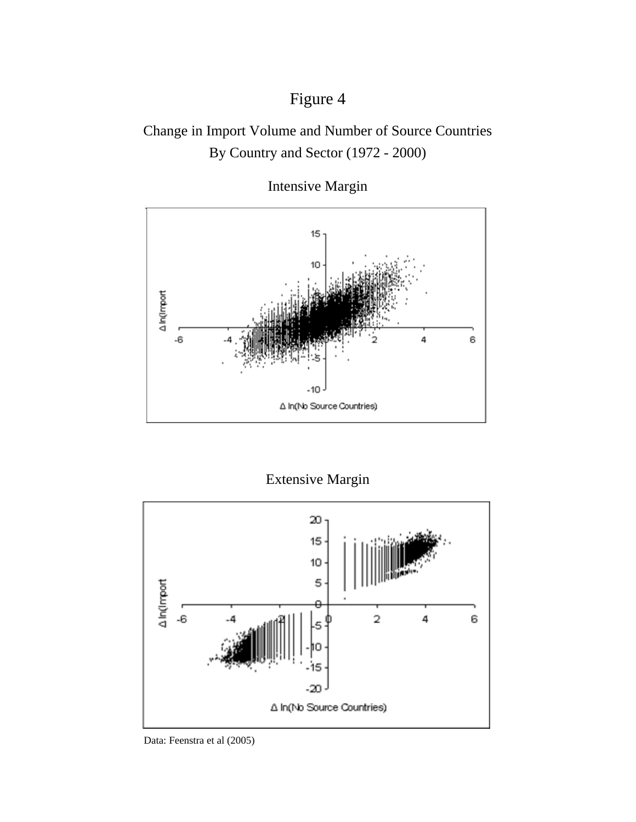# Figure 4

### Change in Import Volume and Number of Source Countries By Country and Sector (1972 - 2000)



Intensive Margin

Extensive Margin



Data: Feenstra et al (2005)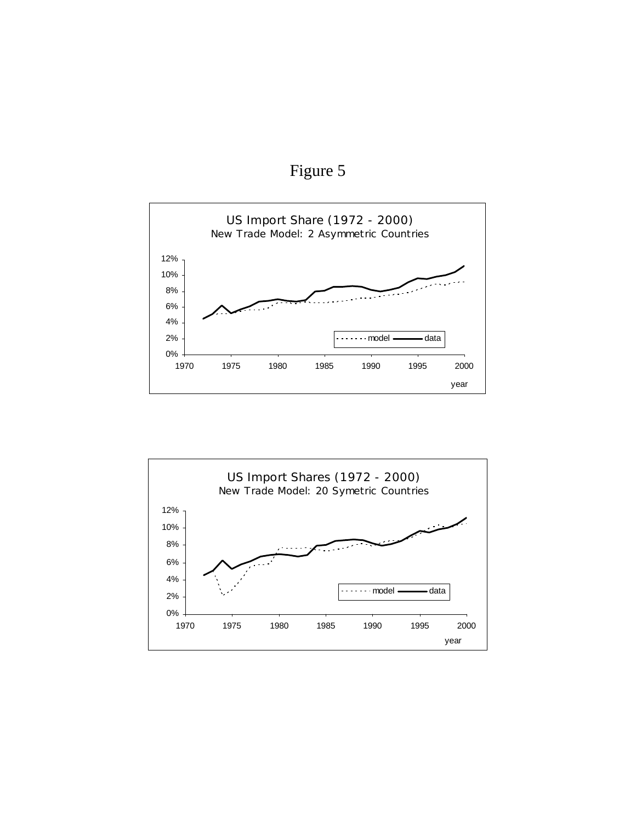Figure 5